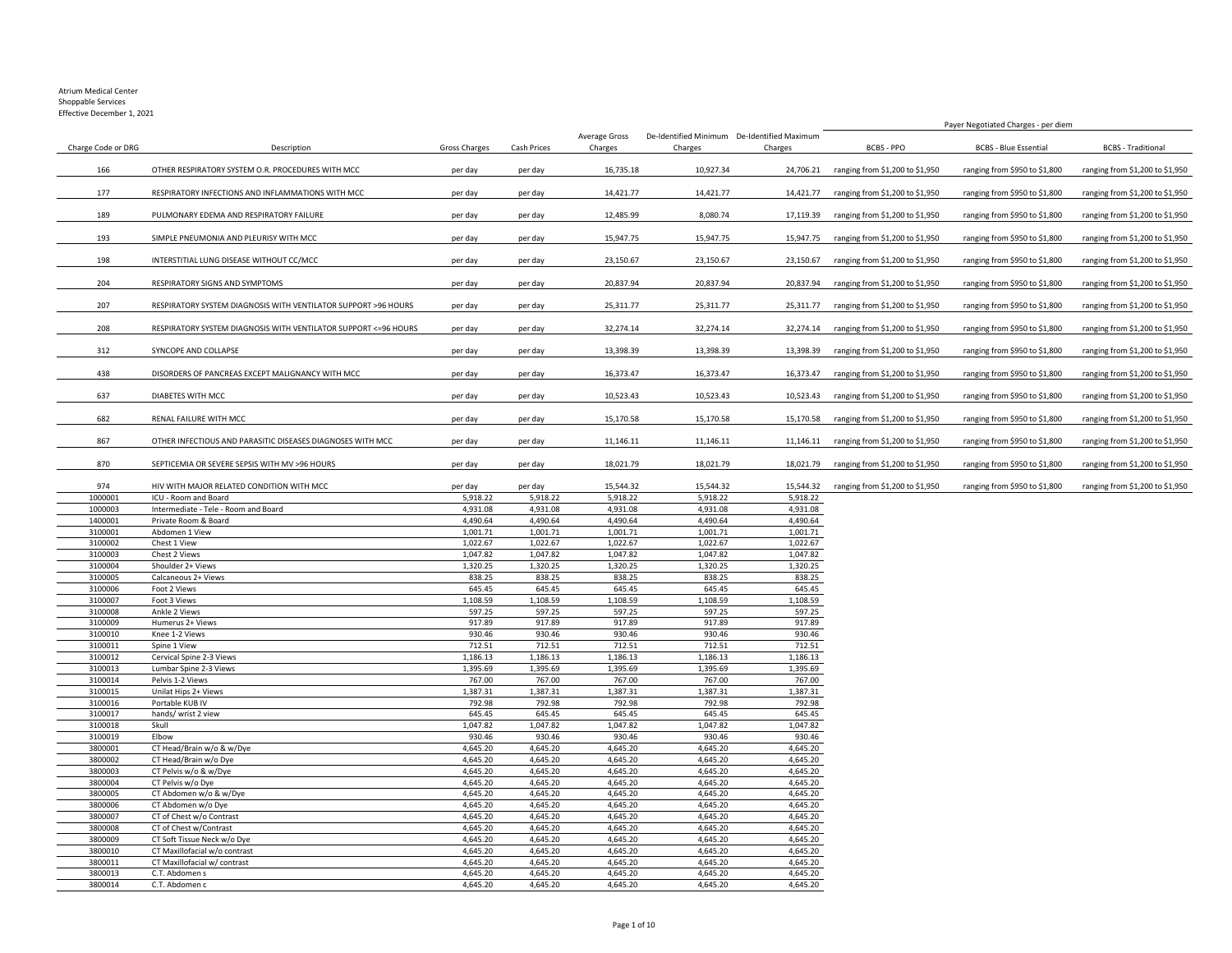Effective December 1, 2021

|                    |                                                                  |                    |                    |                          |                                                        |                    | Payer Negotiated Charges - per diem |                               |                                 |
|--------------------|------------------------------------------------------------------|--------------------|--------------------|--------------------------|--------------------------------------------------------|--------------------|-------------------------------------|-------------------------------|---------------------------------|
| Charge Code or DRG | Description                                                      | Gross Charges      | Cash Prices        | Average Gross<br>Charges | De-Identified Minimum De-Identified Maximum<br>Charges | Charges            | BCBS - PPO                          | <b>BCBS - Blue Essential</b>  | <b>BCBS</b> - Traditional       |
| 166                | OTHER RESPIRATORY SYSTEM O.R. PROCEDURES WITH MCC                | per day            | per day            | 16,735.18                | 10,927.34                                              | 24,706.21          | ranging from \$1,200 to \$1,950     | ranging from \$950 to \$1,800 | ranging from \$1,200 to \$1,950 |
| 177                | RESPIRATORY INFECTIONS AND INFLAMMATIONS WITH MCC                | per day            | per day            | 14,421.77                | 14,421.77                                              | 14,421.77          | ranging from \$1,200 to \$1,950     | ranging from \$950 to \$1,800 | ranging from \$1,200 to \$1,950 |
| 189                | PULMONARY EDEMA AND RESPIRATORY FAILURE                          | per day            | per day            | 12,485.99                | 8,080.74                                               | 17,119.39          | ranging from \$1,200 to \$1,950     | ranging from \$950 to \$1,800 | ranging from \$1,200 to \$1,950 |
| 193                | SIMPLE PNEUMONIA AND PLEURISY WITH MCC                           | per day            | per day            | 15,947.75                | 15,947.75                                              | 15,947.75          | ranging from \$1,200 to \$1,950     | ranging from \$950 to \$1,800 | ranging from \$1,200 to \$1,950 |
| 198                | INTERSTITIAL LUNG DISEASE WITHOUT CC/MCC                         | per day            | per day            | 23,150.67                | 23,150.67                                              | 23,150.67          | ranging from \$1,200 to \$1,950     | ranging from \$950 to \$1,800 | ranging from \$1,200 to \$1,950 |
| 204                | RESPIRATORY SIGNS AND SYMPTOMS                                   | per day            | per day            | 20,837.94                | 20,837.94                                              | 20,837.94          | ranging from \$1,200 to \$1,950     | ranging from \$950 to \$1,800 | ranging from \$1,200 to \$1,950 |
| 207                | RESPIRATORY SYSTEM DIAGNOSIS WITH VENTILATOR SUPPORT >96 HOURS   | per day            | per day            | 25,311.77                | 25,311.77                                              | 25,311.77          | ranging from \$1,200 to \$1,950     | ranging from \$950 to \$1,800 | ranging from \$1,200 to \$1,950 |
| 208                | RESPIRATORY SYSTEM DIAGNOSIS WITH VENTILATOR SUPPORT <= 96 HOURS | per day            | per day            | 32,274.14                | 32,274.14                                              | 32,274.14          | ranging from \$1,200 to \$1,950     | ranging from \$950 to \$1,800 | ranging from \$1,200 to \$1,950 |
| 312                | SYNCOPE AND COLLAPSE                                             | per day            | per day            | 13,398.39                | 13,398.39                                              | 13,398.39          | ranging from \$1,200 to \$1,950     | ranging from \$950 to \$1,800 | ranging from \$1,200 to \$1,950 |
| 438                | DISORDERS OF PANCREAS EXCEPT MALIGNANCY WITH MCC                 | per day            | per day            | 16,373.47                | 16,373.47                                              | 16,373.47          | ranging from \$1,200 to \$1,950     | ranging from \$950 to \$1,800 | ranging from \$1,200 to \$1,950 |
| 637                | DIABETES WITH MCC                                                | per day            | per day            | 10,523.43                | 10,523.43                                              | 10,523.43          | ranging from \$1,200 to \$1,950     | ranging from \$950 to \$1,800 | ranging from \$1,200 to \$1,950 |
| 682                | RENAL FAILURE WITH MCC                                           | per day            | per day            | 15,170.58                | 15,170.58                                              | 15,170.58          | ranging from \$1,200 to \$1,950     | ranging from \$950 to \$1,800 | ranging from \$1,200 to \$1,950 |
| 867                | OTHER INFECTIOUS AND PARASITIC DISEASES DIAGNOSES WITH MCC       | per day            | per day            | 11,146.11                | 11,146.11                                              | 11,146.11          | ranging from \$1,200 to \$1,950     | ranging from \$950 to \$1,800 | ranging from \$1,200 to \$1,950 |
| 870                | SEPTICEMIA OR SEVERE SEPSIS WITH MV >96 HOURS                    | per day            | per day            | 18,021.79                | 18,021.79                                              | 18,021.79          | ranging from \$1,200 to \$1,950     | ranging from \$950 to \$1,800 | ranging from \$1,200 to \$1,950 |
| 974                | HIV WITH MAJOR RELATED CONDITION WITH MCC                        | per day            | per day            | 15,544.32                | 15,544.32                                              | 15,544.32          | ranging from \$1,200 to \$1,950     | ranging from \$950 to \$1,800 | ranging from \$1,200 to \$1,950 |
| 1000001            | ICU - Room and Board                                             | 5,918.22           | 5,918.22           | 5,918.22                 | 5,918.22                                               | 5,918.22           |                                     |                               |                                 |
| 1000003            | Intermediate - Tele - Room and Board                             | 4,931.08           | 4,931.08           | 4,931.08                 | 4,931.08                                               | 4,931.08           |                                     |                               |                                 |
| 1400001            | Private Room & Board                                             | 4,490.64           | 4,490.64           | 4,490.64                 | 4,490.64                                               | 4,490.64           |                                     |                               |                                 |
| 3100001            | Abdomen 1 View                                                   | 1,001.71           | 1,001.71           | 1,001.71                 | 1,001.71                                               | 1,001.71           |                                     |                               |                                 |
| 3100002            | Chest 1 View                                                     | 1,022.67           | 1,022.67           | 1,022.67                 | 1,022.67                                               | 1,022.67           |                                     |                               |                                 |
| 3100003            | Chest 2 Views                                                    | 1,047.82           | 1,047.82           | 1,047.82                 | 1,047.82                                               | 1,047.82           |                                     |                               |                                 |
| 3100004            | Shoulder 2+ Views                                                | 1,320.25           | 1,320.25           | 1,320.25                 | 1,320.25                                               | 1,320.25           |                                     |                               |                                 |
| 3100005            | Calcaneous 2+ Views                                              | 838.25             | 838.25             | 838.25                   | 838.25                                                 | 838.25             |                                     |                               |                                 |
| 3100006            | Foot 2 Views                                                     | 645.45             | 645.45             | 645.45                   | 645.45                                                 | 645.45             |                                     |                               |                                 |
| 3100007            | Foot 3 Views                                                     | 1,108.59           | 1,108.59           | 1,108.59                 | 1,108.59                                               | 1,108.59           |                                     |                               |                                 |
| 3100008            | Ankle 2 Views                                                    | 597.25             | 597.25             | 597.25                   | 597.25                                                 | 597.25             |                                     |                               |                                 |
| 3100009            | Humerus 2+ Views                                                 | 917.89             | 917.89             | 917.89                   | 917.89                                                 | 917.89             |                                     |                               |                                 |
| 3100010            | Knee 1-2 Views                                                   | 930.46             | 930.46             | 930.46                   | 930.46                                                 | 930.46             |                                     |                               |                                 |
| 3100011            | Spine 1 View                                                     | 712.51             | 712.51             | 712.51                   | 712.51                                                 | 712.51             |                                     |                               |                                 |
| 3100012            | Cervical Spine 2-3 Views                                         | 1,186.13           | 1,186.13           | 1,186.13                 | 1,186.13                                               | 1,186.13           |                                     |                               |                                 |
| 3100013            | Lumbar Spine 2-3 Views                                           | 1,395.69           | 1,395.69           | 1,395.69                 | 1,395.69                                               | 1,395.69           |                                     |                               |                                 |
| 3100014            | Pelvis 1-2 Views                                                 | 767.00             | 767.00             | 767.00                   | 767.00                                                 | 767.00             |                                     |                               |                                 |
| 3100015            | Unilat Hips 2+ Views                                             | 1,387.31           | 1,387.31           | 1,387.31                 | 1,387.31                                               | 1,387.31           |                                     |                               |                                 |
| 3100016            | Portable KUB IV                                                  | 792.98             | 792.98             | 792.98                   | 792.98                                                 | 792.98             |                                     |                               |                                 |
| 3100017            | hands/ wrist 2 view                                              | 645.45             | 645.45             | 645.45                   | 645.45                                                 | 645.45             |                                     |                               |                                 |
| 3100018<br>3100019 | Skull<br>Elbow                                                   | 1,047.82<br>930.46 | 1,047.82<br>930.46 | 1,047.82<br>930.46       | 1,047.82<br>930.46                                     | 1,047.82<br>930.46 |                                     |                               |                                 |
| 3800001            | CT Head/Brain w/o & w/Dye                                        | 4,645.20           | 4,645.20           | 4,645.20                 | 4,645.20                                               | 4,645.20           |                                     |                               |                                 |
| 3800002            | CT Head/Brain w/o Dye                                            | 4,645.20           | 4,645.20           | 4,645.20                 | 4,645.20                                               | 4,645.20           |                                     |                               |                                 |
| 3800003            | CT Pelvis w/o & w/Dye                                            | 4,645.20           | 4,645.20           | 4,645.20                 | 4,645.20                                               | 4,645.20           |                                     |                               |                                 |
| 3800004            | CT Pelvis w/o Dye                                                | 4,645.20           | 4,645.20           | 4,645.20                 | 4,645.20                                               | 4,645.20           |                                     |                               |                                 |
| 3800005            | CT Abdomen w/o & w/Dye                                           | 4,645.20           | 4,645.20           | 4,645.20                 | 4,645.20                                               | 4,645.20           |                                     |                               |                                 |
| 3800006            | CT Abdomen w/o Dye                                               | 4,645.20           | 4,645.20           | 4,645.20                 | 4,645.20                                               | 4,645.20           |                                     |                               |                                 |
| 3800007            | CT of Chest w/o Contrast                                         | 4,645.20           | 4,645.20           | 4,645.20                 | 4,645.20                                               | 4,645.20           |                                     |                               |                                 |
| 3800008            | CT of Chest w/Contrast                                           | 4,645.20           | 4,645.20           | 4,645.20                 | 4,645.20                                               | 4,645.20           |                                     |                               |                                 |
| 3800009            | CT Soft Tissue Neck w/o Dye                                      | 4,645.20           | 4,645.20           | 4,645.20                 | 4,645.20                                               | 4,645.20           |                                     |                               |                                 |
| 3800010            | CT Maxillofacial w/o contrast                                    | 4,645.20           | 4,645.20           | 4,645.20                 | 4,645.20                                               | 4,645.20           |                                     |                               |                                 |
| 3800011            | CT Maxillofacial w/ contrast                                     | 4,645.20           | 4,645.20           | 4,645.20                 | 4,645.20                                               | 4,645.20           |                                     |                               |                                 |
| 3800013            | C.T. Abdomen s                                                   | 4,645.20           | 4,645.20           | 4,645.20                 | 4,645.20                                               | 4,645.20           |                                     |                               |                                 |
| 3800014            | C.T. Abdomen c                                                   | 4,645.20           | 4,645.20           | 4,645.20                 | 4.645.20                                               | 4,645.20           |                                     |                               |                                 |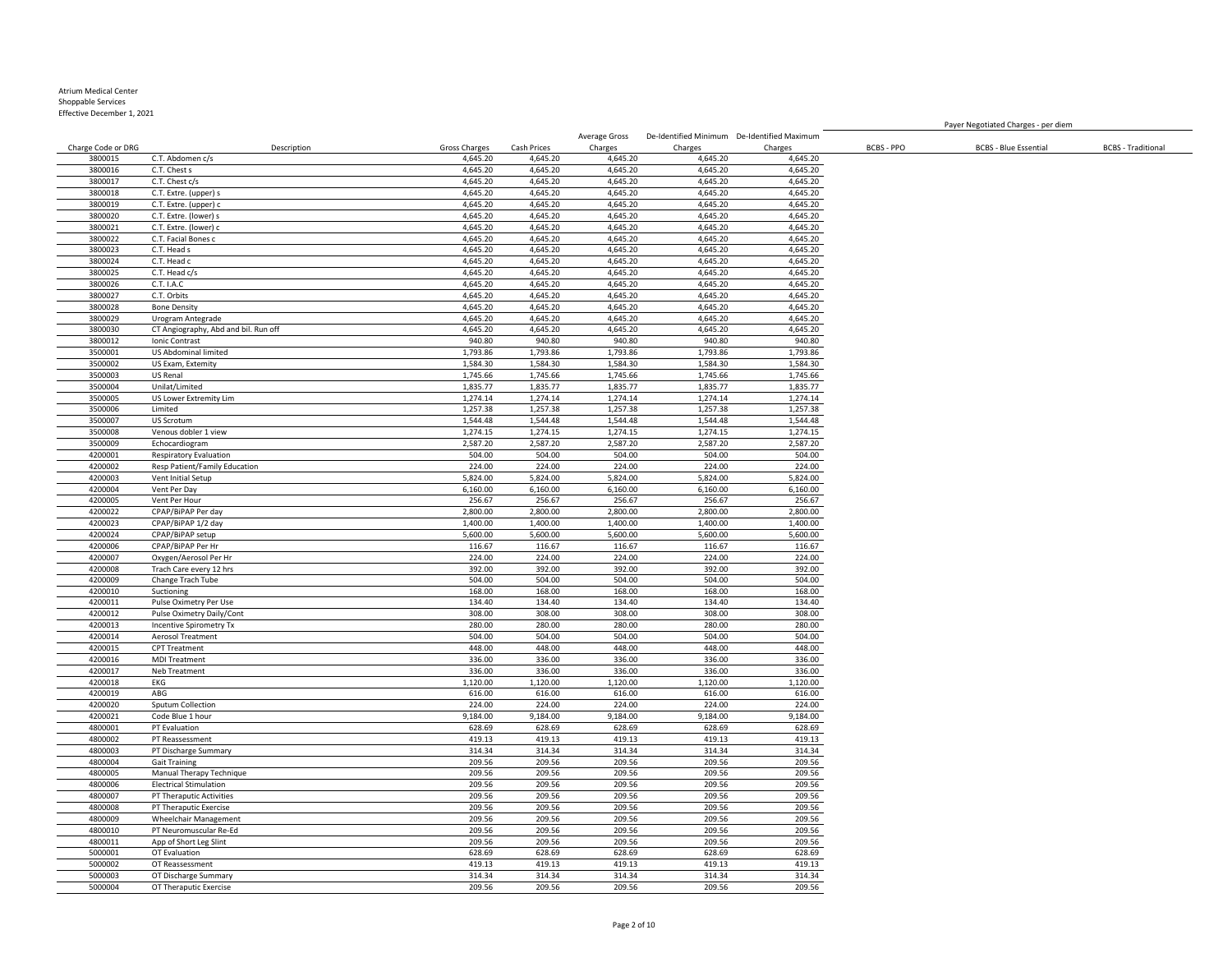Effective December 1, 2021

Charge Code or DRG Description Gross Charges Cash Prices Charges Charges Charges BCBS - PPO BCBS - Blue Essential BCBS - Traditional C.T. Abdomen c/s 4,645.20 4,645.20 4,645.20 4,645.20 4,645.20 C.T. Chest s 4,645.20 4,645.20 4,645.20 4,645.20 4,645.20 C.T. Chest c/s 4,645.20 4,645.20 4,645.20 4,645.20 4,645.20 C.T. Extre. (upper) s 4,645.20 4,645.20 4,645.20 4,645.20 4,645.20 C.T. Extre. (upper) c 4,645.20 4,645.20 4,645.20 4,645.20 4,645.20 C.T. Extre. (lower) s 4,645.20 4,645.20 4,645.20 4,645.20 4,645.20 C.T. Extre. (lower) c 4,645.20 4,645.20 4,645.20 4,645.20 4,645.20 C.T. Facial Bones c 4,645.20 4,645.20 4,645.20 4,645.20 4,645.20 3800023 C.T. Head s 4,645.20 4,645.20 4,645.20 4,645.20 3800024 C.T. Head c 4,645.20 4,645.20 4,645.20 4,645.20 C.T. Head c/s 4,645.20 4,645.20 4,645.20 4,645.20 4,645.20 C.T. I.A.C 4,645.20 4,645.20 4,645.20 4,645.20 4,645.20 C.T. Orbits 4,645.20 4,645.20 4,645.20 4,645.20 4,645.20 Bone Density 4,645.20 4,645.20 4,645.20 4,645.20 4,645.20 Urogram Antegrade 4,645.20 4,645.20 4,645.20 4,645.20 4,645.20 3800030 CT Angiography, Abd and bil. Run off 1980 1990. Bill and the service of the service of the service of t<br>1990.80 4,645.20 4,645.20 4,645.20 4,645.20 4,645.20 4,645.20 4,645.20 4,645.20 4,645.20 4,645.20 4,645.20 4,<br> Ionic Contrast 940.80 940.80 940.80 940.80 940.80 US Abdominal limited 1,793.86 1,793.86 1,793.86 1,793.86 1,793.86 US Exam, Extemity 1,584.30 1,584.30 1,584.30 1,584.30 1,584.30 US Renal 1,745.66 1,745.66 1,745.66 1,745.66 1,745.66 3500004 Unilat/Limited 1,835.77 1,835.77 1,835.77 1,835.77 1,835.77 1,835.77 1,835.77 1,835.77 1,835.77 US Lower Extremity Lim 1,274.14 1,274.14 1,274.14 1,274.14 1,274.14 Limited 1,257.38 1,257.38 1,257.38 1,257.38 1,257.38 US Scrotum 1,544.48 1,544.48 1,544.48 1,544.48 1,544.48 Venous dobler 1 view 1,274.15 1,274.15 1,274.15 1,274.15 1,274.15 Echocardiogram 2,587.20 2,587.20 2,587.20 2,587.20 2,587.20 Respiratory Evaluation 504.00 504.00 504.00 504.00 504.00 Resp Patient/Family Education 224.00 224.00 224.00 224.00 224.00 Vent Initial Setup 5,824.00 5,824.00 5,824.00 5,824.00 5,824.00 Vent Per Day 6,160.00 6,160.00 6,160.00 6,160.00 6,160.00 Vent Per Hour 256.67 256.67 256.67 256.67 256.67 CPAP/BiPAP Per day 2,800.00 2,800.00 2,800.00 2,800.00 2,800.00 CPAP/BiPAP 1/2 day 1,400.00 1,400.00 1,400.00 1,400.00 1,400.00 CPAP/BiPAP setup 5,600.00 5,600.00 5,600.00 5,600.00 5,600.00 CPAP/BiPAP Per Hr 116.67 116.67 116.67 116.67 116.67 Oxygen/Aerosol Per Hr 224.00 224.00 224.00 224.00 224.00 Trach Care every 12 hrs 392.00 392.00 392.00 392.00 392.00 Change Trach Tube 504.00 504.00 504.00 504.00 504.00 Suctioning 168.00 168.00 168.00 168.00 168.00 4200011 Pulse Oximetry Per Use 134.40 134.40 134.40 134.40 134.40 134.40 134.40 134.40 134.40 134.40 134.40 134.40 134.40 134.40 134.40 134.40 134.40 136.00 1308.00 1308.00 1308.00 1308.00 1308.00 1308.00 1308.00 1308.00 1 Pulse Oximetry Daily/Cont 308.00 308.00 308.00 308.00 308.00 Incentive Spirometry Tx 280.00 280.00 280.00 280.00 280.00 Aerosol Treatment 504.00 504.00 504.00 504.00 504.00 CPT Treatment 448.00 448.00 448.00 448.00 448.00 MDI Treatment 336.00 336.00 336.00 336.00 336.00 Neb Treatment 336.00 336.00 336.00 336.00 336.00 EKG 1,120.00 1,120.00 1,120.00 1,120.00 1,120.00 ABG 616.00 616.00 616.00 616.00 616.00 Sputum Collection 224.00 224.00 224.00 224.00 224.00 Code Blue 1 hour 9,184.00 9,184.00 9,184.00 9,184.00 9,184.00 PT Evaluation 628.69 628.69 628.69 628.69 628.69 PT Reassessment 419.13 419.13 419.13 419.13 419.13 PT Discharge Summary 314.34 314.34 314.34 314.34 314.34 Gait Training 209.56 209.56 209.56 209.56 209.56 Manual Therapy Technique 209.56 209.56 209.56 209.56 209.56 Electrical Stimulation 209.56 209.56 209.56 209.56 209.56 4800007 PT Theraputic Activities 209.56 209.56 209.56 209.56 209.56 209.56 209.56 209.56 209.56 209.56 209.56<br>1800008 PT Theraputic Exercise 2003.56 209.56 209.56 209.56 209.56 209.56 209.56 209.56 209.56 209.56 PT Theraputic Exercise 209.56 209.56 209.56 209.56 209.56 Wheelchair Management 209.56 209.56 209.56 209.56 209.56 PT Neuromuscular Re-Ed 209.56 209.56 209.56 209.56 209.56 App of Short Leg Slint 209.56 209.56 209.56 209.56 209.56 OT Evaluation 628.69 628.69 628.69 628.69 628.69 OT Reassessment 419.13 419.13 419.13 419.13 419.13

Average Gross

De-Identified Minimum De-Identified Maximum

Payer Negotiated Charges - per diem

 OT Discharge Summary 314.34 314.34 314.34 314.34 314.34 OT Theraputic Exercise 209.56 209.56 209.56 209.56 209.56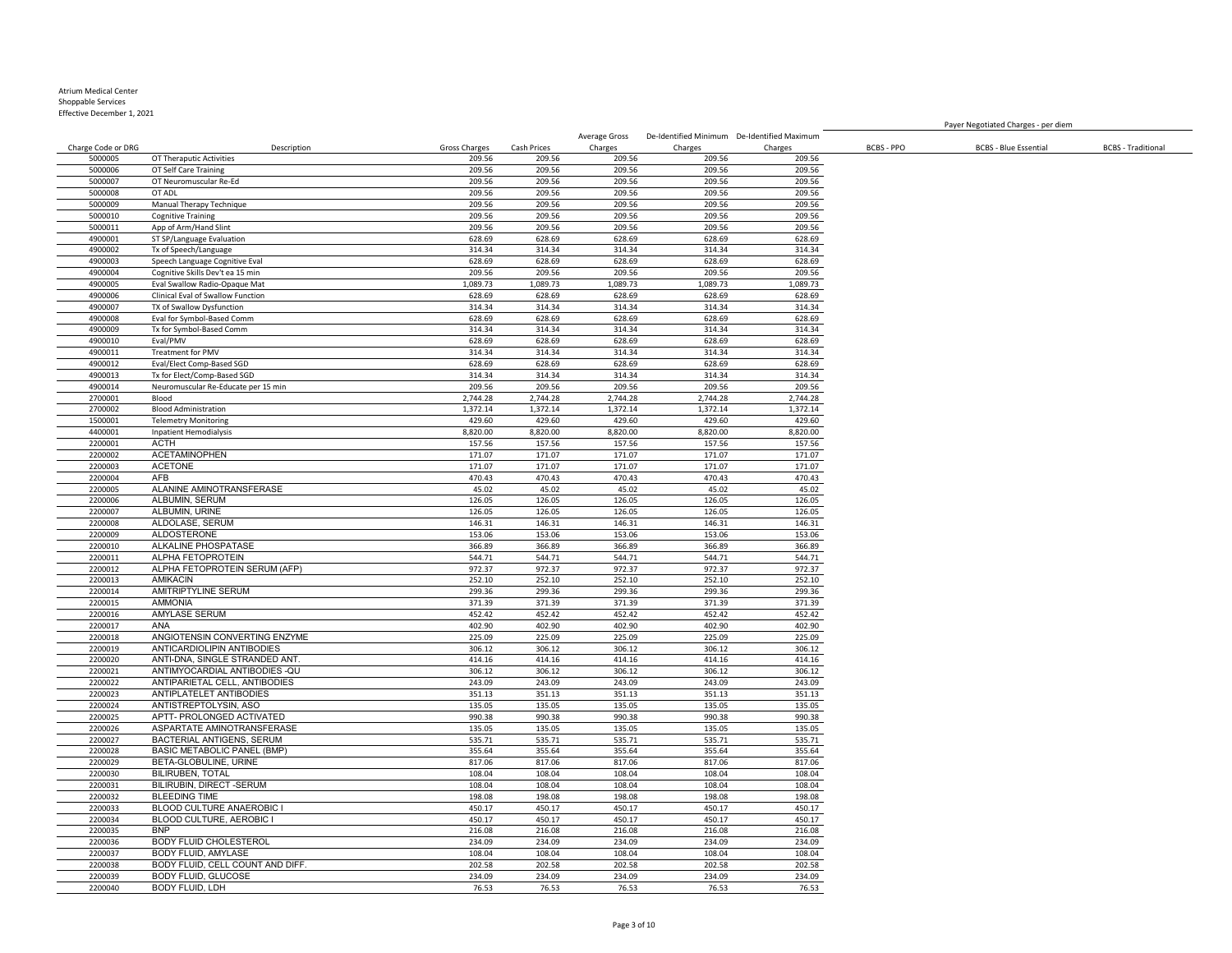# Atrium Medical Center

Shoppable Services

Effective December 1, 2021

|                    |                                     |                      |                    | Average Gross      | De-Identified Minimum De-Identified Maximum |                    |                   |                              |                           |
|--------------------|-------------------------------------|----------------------|--------------------|--------------------|---------------------------------------------|--------------------|-------------------|------------------------------|---------------------------|
| Charge Code or DRG | Description                         | <b>Gross Charges</b> | Cash Prices        | Charges            | Charges                                     | Charges            | <b>BCBS - PPO</b> | <b>BCBS - Blue Essential</b> | <b>BCBS</b> - Traditional |
| 5000005            | OT Theraputic Activities            | 209.56               | 209.56             | 209.56             | 209.56                                      | 209.56             |                   |                              |                           |
| 5000006            | OT Self Care Training               | 209.56               | 209.56             | 209.56             | 209.56                                      | 209.56             |                   |                              |                           |
| 5000007            | OT Neuromuscular Re-Ed              | 209.56               | 209.56             | 209.56             | 209.56                                      | 209.56             |                   |                              |                           |
| 5000008            | OT ADL                              | 209.56               | 209.56             | 209.56             | 209.56                                      | 209.56             |                   |                              |                           |
| 5000009            | Manual Therapy Technique            | 209.56               | 209.56             | 209.56             | 209.56                                      | 209.56             |                   |                              |                           |
| 5000010            | <b>Cognitive Training</b>           | 209.56               | 209.56             | 209.56             | 209.56                                      | 209.56             |                   |                              |                           |
| 5000011            | App of Arm/Hand Slint               | 209.56               | 209.56             | 209.56             | 209.56                                      | 209.56             |                   |                              |                           |
| 4900001            | ST SP/Language Evaluation           | 628.69               | 628.69             | 628.69             | 628.69                                      | 628.69             |                   |                              |                           |
| 4900002            | Tx of Speech/Language               | 314.34               | 314.34             | 314.34             | 314.34                                      | 314.34             |                   |                              |                           |
| 4900003            | Speech Language Cognitive Eval      | 628.69               | 628.69             | 628.69             | 628.69                                      | 628.69             |                   |                              |                           |
| 4900004            | Cognitive Skills Dev't ea 15 min    | 209.56               | 209.56             | 209.56             | 209.56                                      | 209.56             |                   |                              |                           |
| 4900005            | Eval Swallow Radio-Opaque Mat       | 1,089.73             | 1,089.73           | 1,089.73           | 1,089.73                                    | 1,089.73           |                   |                              |                           |
| 4900006            | Clinical Eval of Swallow Function   | 628.69               | 628.69             | 628.69             | 628.69                                      | 628.69             |                   |                              |                           |
| 4900007            | TX of Swallow Dysfunction           | 314.34               | 314.34             | 314.34             | 314.34                                      | 314.34             |                   |                              |                           |
| 4900008            | Eval for Symbol-Based Comm          | 628.69               | 628.69             | 628.69             | 628.69                                      | 628.69             |                   |                              |                           |
| 4900009            | Tx for Symbol-Based Comm            | 314.34               | 314.34             | 314.34             | 314.34                                      | 314.34             |                   |                              |                           |
| 4900010            | Eval/PMV                            | 628.69               | 628.69             | 628.69             | 628.69                                      | 628.69             |                   |                              |                           |
| 4900011            | Treatment for PMV                   | 314.34               | 314.34             | 314.34             | 314.34                                      | 314.34             |                   |                              |                           |
| 4900012            | Eval/Elect Comp-Based SGD           | 628.69               | 628.69             | 628.69             | 628.69                                      | 628.69             |                   |                              |                           |
| 4900013            | Tx for Elect/Comp-Based SGD         | 314.34               | 314.34             | 314.34             | 314.34                                      | 314.34             |                   |                              |                           |
| 4900014            | Neuromuscular Re-Educate per 15 min | 209.56               | 209.56             | 209.56             | 209.56                                      | 209.56             |                   |                              |                           |
| 2700001            | Blood                               | 2,744.28             | 2,744.28           | 2,744.28           | 2,744.28                                    | 2,744.28           |                   |                              |                           |
|                    |                                     |                      |                    |                    |                                             |                    |                   |                              |                           |
| 2700002<br>1500001 | <b>Blood Administration</b>         | 1,372.14<br>429.60   | 1,372.14<br>429.60 | 1,372.14<br>429.60 | 1,372.14<br>429.60                          | 1,372.14<br>429.60 |                   |                              |                           |
|                    | <b>Telemetry Monitoring</b>         |                      |                    |                    |                                             |                    |                   |                              |                           |
| 4400001            | <b>Inpatient Hemodialysis</b>       | 8,820.00             | 8,820.00           | 8,820.00           | 8,820.00                                    | 8,820.00           |                   |                              |                           |
| 2200001            | ACTH                                | 157.56               | 157.56             | 157.56             | 157.56                                      | 157.56             |                   |                              |                           |
| 2200002            | <b>ACETAMINOPHEN</b>                | 171.07               | 171.07             | 171.07             | 171.07                                      | 171.07             |                   |                              |                           |
| 2200003            | ACETONE                             | 171.07               | 171.07             | 171.07             | 171.07                                      | 171.07             |                   |                              |                           |
| 2200004            | AFB                                 | 470.43               | 470.43             | 470.43             | 470.43                                      | 470.43             |                   |                              |                           |
| 2200005            | ALANINE AMINOTRANSFERASE            | 45.02                | 45.02              | 45.02              | 45.02                                       | 45.02              |                   |                              |                           |
| 2200006            | ALBUMIN, SERUM                      | 126.05               | 126.05             | 126.05             | 126.05                                      | 126.05             |                   |                              |                           |
| 2200007            | ALBUMIN, URINE                      | 126.05               | 126.05             | 126.05             | 126.05                                      | 126.05             |                   |                              |                           |
| 2200008            | ALDOLASE, SERUM                     | 146.31               | 146.31             | 146.31             | 146.31                                      | 146.31             |                   |                              |                           |
| 2200009            | ALDOSTERONE                         | 153.06               | 153.06             | 153.06             | 153.06                                      | 153.06             |                   |                              |                           |
| 2200010            | ALKALINE PHOSPATASE                 | 366.89               | 366.89             | 366.89             | 366.89                                      | 366.89             |                   |                              |                           |
| 2200011            | ALPHA FETOPROTEIN                   | 544.71               | 544.71             | 544.71             | 544.71                                      | 544.71             |                   |                              |                           |
| 2200012            | ALPHA FETOPROTEIN SERUM (AFP)       | 972.37               | 972.37             | 972.37             | 972.37                                      | 972.37             |                   |                              |                           |
| 2200013            | <b>AMIKACIN</b>                     | 252.10               | 252.10             | 252.10             | 252.10                                      | 252.10             |                   |                              |                           |
| 2200014            | AMITRIPTYLINE SERUM                 | 299.36               | 299.36             | 299.36             | 299.36                                      | 299.36             |                   |                              |                           |
| 2200015            | <b>AMMONIA</b>                      | 371.39               | 371.39             | 371.39             | 371.39                                      | 371.39             |                   |                              |                           |
| 2200016            | AMYLASE SERUM                       | 452.42               | 452.42             | 452.42             | 452.42                                      | 452.42             |                   |                              |                           |
| 2200017            | ANA                                 | 402.90               | 402.90             | 402.90             | 402.90                                      | 402.90             |                   |                              |                           |
| 2200018            | ANGIOTENSIN CONVERTING ENZYME       | 225.09               | 225.09             | 225.09             | 225.09                                      | 225.09             |                   |                              |                           |
| 2200019            | ANTICARDIOLIPIN ANTIBODIES          | 306.12               | 306.12             | 306.12             | 306.12                                      | 306.12             |                   |                              |                           |
| 2200020            | ANTI-DNA, SINGLE STRANDED ANT.      | 414.16               | 414.16             | 414.16             | 414.16                                      | 414.16             |                   |                              |                           |
| 2200021            | ANTIMYOCARDIAL ANTIBODIES - QU      | 306.12               | 306.12             | 306.12             | 306.12                                      | 306.12             |                   |                              |                           |
| 2200022            | ANTIPARIETAL CELL, ANTIBODIES       | 243.09               | 243.09             | 243.09             | 243.09                                      | 243.09             |                   |                              |                           |
| 2200023            | ANTIPLATELET ANTIBODIES             | 351.13               | 351.13             | 351.13             | 351.13                                      | 351.13             |                   |                              |                           |
| 2200024            | ANTISTREPTOLYSIN, ASO               | 135.05               | 135.05             | 135.05             | 135.05                                      | 135.05             |                   |                              |                           |
| 2200025            | APTT- PROLONGED ACTIVATED           | 990.38               | 990.38             | 990.38             | 990.38                                      | 990.38             |                   |                              |                           |
| 2200026            | ASPARTATE AMINOTRANSFERASE          | 135.05               | 135.05             | 135.05             | 135.05                                      | 135.05             |                   |                              |                           |
| 2200027            | BACTERIAL ANTIGENS, SERUM           | 535.71               | 535.71             | 535.71             | 535.71                                      | 535.71             |                   |                              |                           |
| 2200028            | BASIC METABOLIC PANEL (BMP)         | 355.64               | 355.64             | 355.64             | 355.64                                      | 355.64             |                   |                              |                           |
| 2200029            | BETA-GLOBULINE, URINE               | 817.06               | 817.06             | 817.06             | 817.06                                      | 817.06             |                   |                              |                           |
| 2200030            | <b>BILIRUBEN, TOTAL</b>             | 108.04               | 108.04             | 108.04             | 108.04                                      | 108.04             |                   |                              |                           |
| 2200031            | BILIRUBIN, DIRECT -SERUM            | 108.04               | 108.04             | 108.04             | 108.04                                      | 108.04             |                   |                              |                           |
| 2200032            | <b>BLEEDING TIME</b>                | 198.08               | 198.08             | 198.08             | 198.08                                      | 198.08             |                   |                              |                           |
| 2200033            | <b>BLOOD CULTURE ANAEROBIC I</b>    | 450.17               | 450.17             | 450.17             | 450.17                                      | 450.17             |                   |                              |                           |
| 2200034            | BLOOD CULTURE, AEROBIC I            | 450.17               | 450.17             | 450.17             | 450.17                                      | 450.17             |                   |                              |                           |
| 2200035            | <b>BNP</b>                          | 216.08               | 216.08             | 216.08             | 216.08                                      | 216.08             |                   |                              |                           |
| 2200036            | <b>BODY FLUID CHOLESTEROL</b>       | 234.09               | 234.09             | 234.09             | 234.09                                      | 234.09             |                   |                              |                           |
| 2200037            | BODY FLUID, AMYLASE                 | 108.04               | 108.04             | 108.04             | 108.04                                      | 108.04             |                   |                              |                           |
| 2200038            | BODY FLUID, CELL COUNT AND DIFF.    | 202.58               | 202.58             | 202.58             | 202.58                                      | 202.58             |                   |                              |                           |

Payer Negotiated Charges - per diem

2200039 BODY FLUID, GLUCOSE 234.09 234.09 234.09 234.09 234.09 BODY FLUID, LDH 76.53 76.53 76.53 76.53 76.53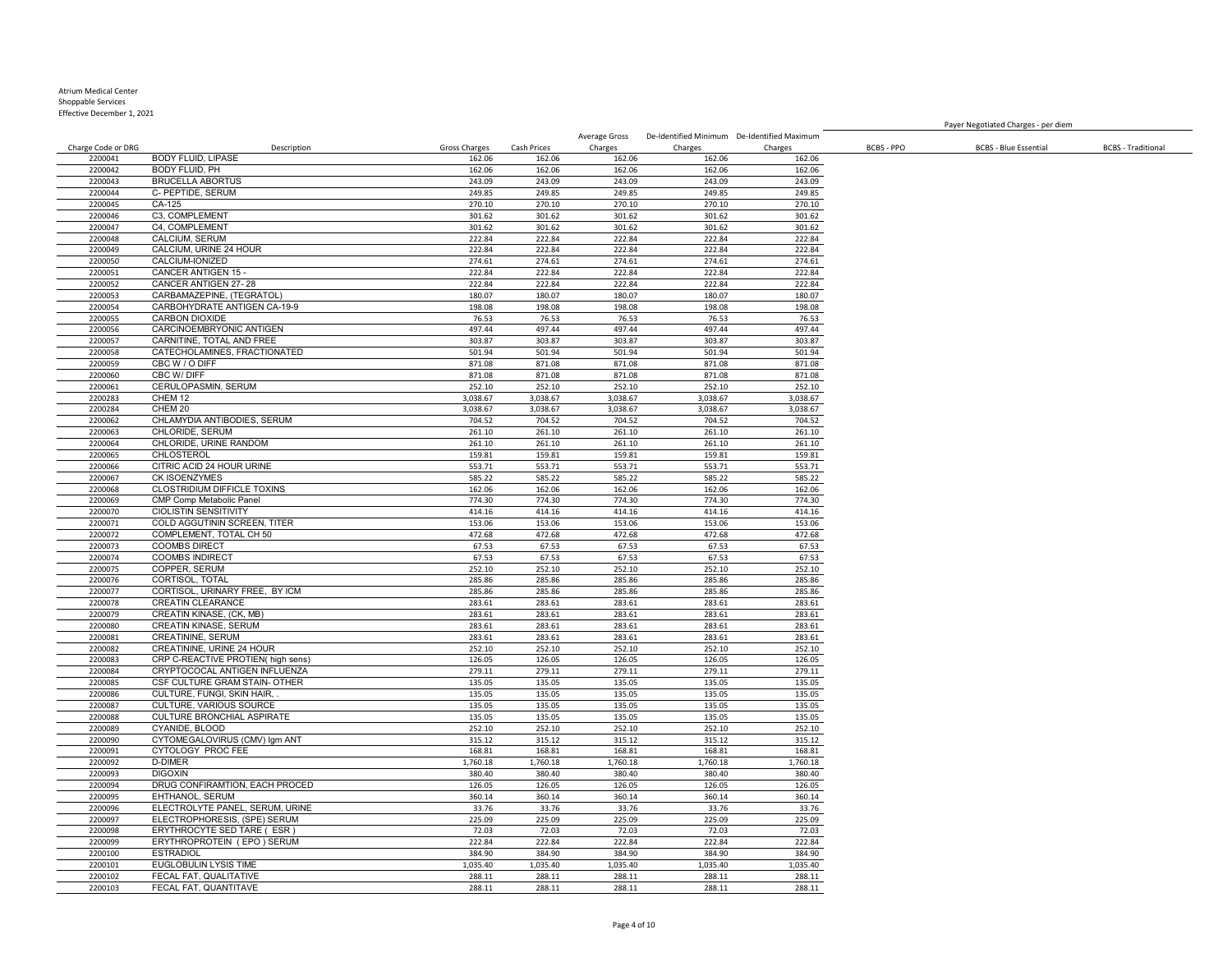Effective December 1, 2021

Charge Code or DRG Description Gross Charges Cash Prices Charges Charges Charges BCBS - PPO BCBS - Blue Essential BCBS - Traditional 2200041 BODY FLUID, LIPASE 162.06 162.06 162.06 162.06 162.06 162.06 162.06 162.06 162.06 BODY FLUID, PH 162.06 162.06 162.06 162.06 162.06 BRUCELLA ABORTUS 243.09 243.09 243.09 243.09 243.09 C- PEPTIDE, SERUM 249.85 249.85 249.85 249.85 249.85 CA-125 270.10 270.10 270.10 270.10 270.10 C3, COMPLEMENT 301.62 301.62 301.62 301.62 301.62 C4, COMPLEMENT 301.62 301.62 301.62 301.62 301.62 CALCIUM, SERUM 222.84 222.84 222.84 222.84 222.84 CALCIUM, URINE 24 HOUR 222.84 222.84 222.84 222.84 222.84 CALCIUM-IONIZED 274.61 274.61 274.61 274.61 274.61 2200051 CANCER ANTIGEN 15 - 222.84 222.84 222.84 222.84 222.84 222.84 222.84 222.84 222.84 222.84 222.84 222.84<br>2200052 CANCER ANTIGEN 27-28 222.94 222.84 222.84 222.84 222.84 222.84 222.84 222.84 222.84 222.84 CANCER ANTIGEN 27- 28 222.84 222.84 222.84 222.84 222.84 CARBAMAZEPINE, (TEGRATOL) 180.07 180.07 180.07 180.07 180.07 2200054 CARBOHYDRATE ANTIGEN CA-19-9 198.08 198.08 198.08 198.08 198.08 198.08 198.08 198.08 198.08 198.08 198<br>2200055 CARBON DIOXIDE 76.53 76.53 76.53 76.53 76.53 76.53 76.53 76.53 76.53 CARBON DIOXIDE 76.53 76.53 76.53 76.53 76.53 CARCINOEMBRYONIC ANTIGEN 497.44 497.44 497.44 497.44 497.44 CARNITINE, TOTAL AND FREE 303.87 303.87 303.87 303.87 303.87 CATECHOLAMINES, FRACTIONATED 501.94 501.94 501.94 501.94 501.94 2200059 CBC W / O DIFF 871.08 871.08 871.08 871.08 CBC W/ DIFF 871.08 871.08 871.08 871.08 871.08 2200061 CERULOPASMIN, SERUM 252.10 252.10 252.10 252.10 252.10 252.10 252.10 252.10 252.10 252.10 252.10 252.10 252.10 252.10 252.10 252.10 252.10 252.10 252.10 252.10 252.10 252.10 252.10 252.10 252.10 252.10 252.10 252.1 CHEM 12 3,038.67 3,038.67 3,038.67 3,038.67 3,038.67 CHEM 20 3,038.67 3,038.67 3,038.67 3,038.67 3,038.67 CHLAMYDIA ANTIBODIES, SERUM 704.52 704.52 704.52 704.52 704.52 CHLORIDE, SERUM 261.10 261.10 261.10 261.10 261.10 200064 CHLORIDE, URINE RANDOM 261.10 261.10 261.10 261.10 261.10 261.10 261.10 261.10<br>2200065 CHLOSTEROL 200065 2010 261.10 159.81 159.81 159.81 159.81 159.81 159.81 CHLOSTEROL 159.81 159.81 159.81 159.81 159.81 2200066 CITRIC ACID 24 HOUR URINE 553.71 553.71 553.71 553.71 553.71 553.71 553.71 553.71 553.71 553.71 553.71<br>2200066 CITRIC ACID 24 HOUR URINE 585.22 585.22 585.22 585.22 585.22 585.22 585.22 585.22 CK ISOENZYMES 585.22 585.22 585.22 585.22 585.22 CLOSTRIDIUM DIFFICLE TOXINS 162.06 162.06 162.06 162.06 162.06 CMP Comp Metabolic Panel 774.30 774.30 774.30 774.30 774.30 CIOLISTIN SENSITIVITY 2200071 COLD AGGUTININ SCREEN, TITER 153.06 153.06 153.06 153.06 153.06 153.06 153.06 COMPLEMENT, TOTAL CH 50 472.68 472.68 472.68 472.68 472.68 COOMBS DIRECT 67.53 67.53 67.53 67.53 67.53 COOMBS INDIRECT 67.53 67.53 67.53 67.53 67.53 COPPER, SERUM 252.10 252.10 252.10 252.10 252.10 CORTISOL, TOTAL 285.86 285.86 285.86 285.86 285.86 2200077 CORTISOL, URINARY FREE, BY ICM 285.86 285.86 285.86 285.86 285.86 285.86 285.86 285.86 285.86 285.86<br>2200078 CREATIN CLEARANCE 2200078 CREATIN CLEARANCE 283.61 283.61 283.61 283.61 283.61 283.61 283.61 283.61 283.61 283.61 283.61 283.61<br>2200079 CREATIN KINASE, (CK, MB) 283.61 283.61 283.61 283.61 283.61 283.61 283.61 283.61 223.61 223.61 223.61 223.61 223.61 223.61 223.61 223.61 223.61 223.61 223.61 223.61 223.61 223.61 233.61 233.61 233.61 233.61 233.61 233.61 233.61 233.61 233.61 233.61 233.61 233.61 233.61 233.61 233.61 233.61 233.61 233.6 CREATIN KINASE, SERUM 283.61 283.61 283.61 283.61 283.61 2200081 CREATININE, SERUM 283.61 283.61 283.61 283.61 283.61 283.61 283.61 283.61 283.61 283.61 283.61 283.61<br>2200082 CREATININE URINE 24 HOUR 252.10 252.10 252.10 252.10 252.10 252.10 252.10 252.10 2200082 CREATININE, URINE 24 HOUR<br>2200083 CRP C-REACTIVE PROTIEN( high sens) 252.10 252.10 252.10 252.10 252.10 252.10 252.10 252.10 252.10 252 CRP C-REACTIVE PROTIEN( high sens) 126.05 126.05 126.05 126.05 126.05 2200084 CRYPTOCOCAL ANTIGEN INFLUENZA 279.11 279.11 279.11 279.11 279.11 279.11 279.11 279.11 279.11 279.11 279.11 279.11 279.11 279.11 279.11 279.11 279.11 279.11 279.11 279.11 279.11 279.11 279.11 279.11 279.11 279.11 27 CSF CULTURE GRAM STAIN- OTHER 135.05 135.05 135.05 135.05 135.05 CULTURE, FUNGI, SKIN HAIR, . 135.05 135.05 135.05 135.05 135.05 **CULTURE, VARIOUS SOURCE**  CULTURE BRONCHIAL ASPIRATE 135.05 135.05 135.05 135.05 135.05 CYANIDE, BLOOD 252.10 252.10 252.10 252.10 252.10 2200090 CYTOMEGALOVIRUS (CMV) Igm ANT 315.12 315.12 315.12 315.12 315.12 315.12 315.12 315.12<br>2200091 CYTOLOGY PROCFEE 3168.81 3168.81 3168.81 3168.81 3168.81 3168.81 3168.81 3168.81 2200091 CYTOLOGY PROC FEE 168.81 168.81 168.81 168.81 168.81 168.81 168.81 D-DIMER 1,760.18 1,760.18 1,760.18 1,760.18 1,760.18 2200093 DIGOXIN 380.40 390.40 380.40 380.40 380.40 380.40 380.40 380.40 380.40 380.40 380.40 2200094 DRUG CONFIRAMTION, EACH PROCED 126.05 126.05 126.05 126.05 126.05 126.05 126.05 126.05 126.05 126.05<br>2200095 EHTHANOL, SERUM 360.14 360.14 360.14 360.14 360.14 360.14 360.14 EHTHANOL, SERUM ELECTROLYTE PANEL, SERUM, URINE 33.76 33.76 33.76 33.76 33.76 ELECTROPHORESIS, (SPE) SERUM 225.09 225.09 225.09 225.09 225.09 ERYTHROCYTE SED TARE ( ESR ) 72.03 72.03 72.03 72.03 72.03 ERYTHROPROTEIN ( EPO ) SERUM 222.84 222.84 222.84 222.84 222.84 ESTRADIOL 384.90 384.90 384.90 384.90 384.90 EUGLOBULIN LYSIS TIME 1,035.40 1,035.40 1,035.40 1,035.40 1,035.40 FECAL FAT, QUALITATIVE 288.11 288.11 288.11 288.11 288.11

Average Gross De-Identified Minimum De-Identified Maximum

Payer Negotiated Charges - per diem

2200103 FECAL FAT, QUANTITAVE 288.11 288.11 288.11 288.11 288.11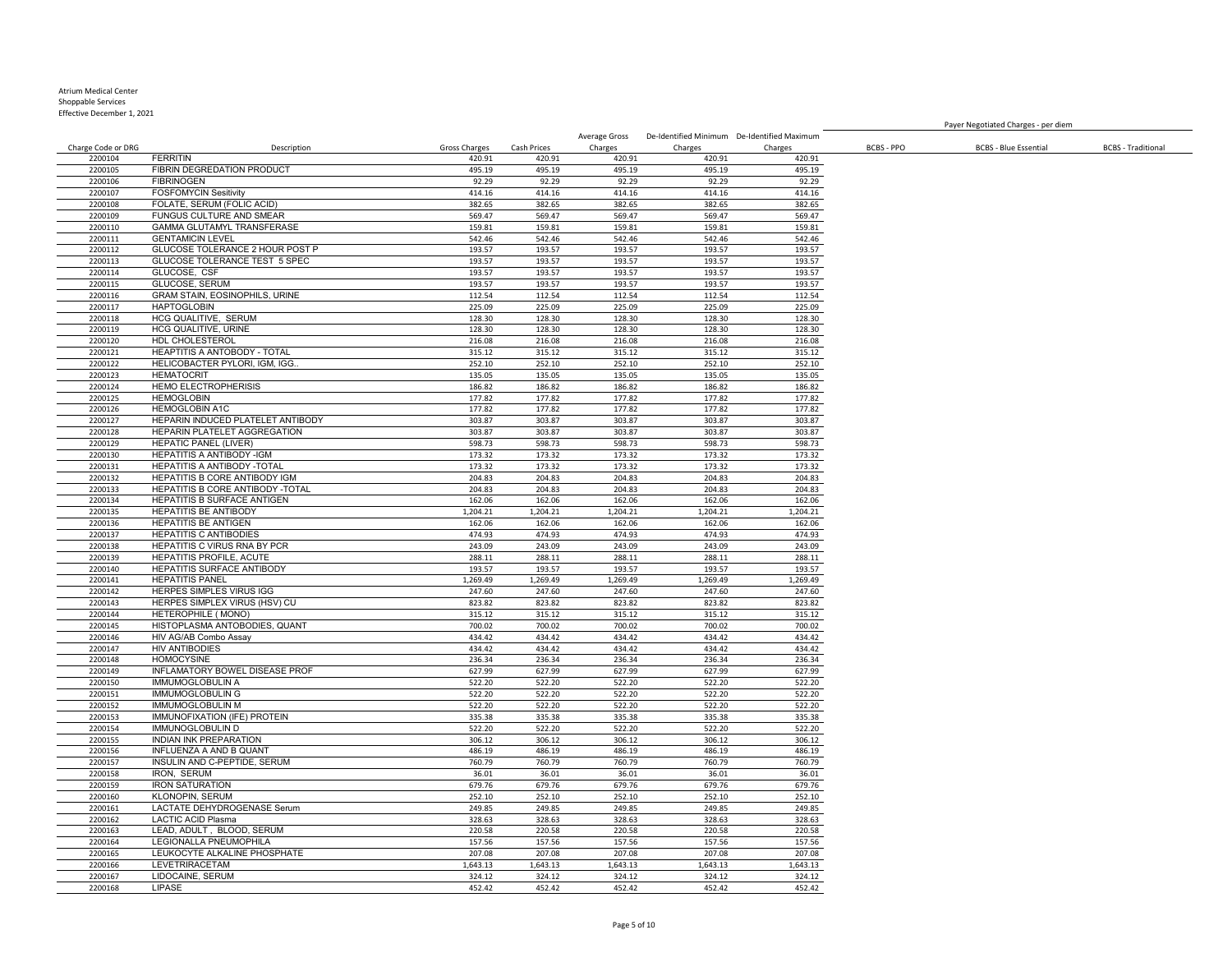## Atrium Medical Center

Shoppable Services Effective December 1, 2021

Charge Code or DRG Description Gross Charges Cash Prices Average Gross De-Identified Minimum De-Identified Maximum Charges Charges Charges BCBS - PPO BCBS - Blue Essential BCBS - Traditional FERRITIN 420.91 420.91 420.91 420.91 420.91 2200105 FIBRIN DEGREDATION PRODUCT 495.19 495.19 495.19 495.19 495.19 495.19 495.19<br>2200106 FIBRINOGEN 92.29 92.29 92.29 92.29 92.29 92.29 92.29 92.29 FIBRINOGEN 92.29 92.29 92.29 92.29 92.29 FOSFOMYCIN Sesitivity 414.16 414.16 414.16 414.16 414.16 2200108 FOLATE, SERUM (FOLIC ACID) 382.65 382.65 382.65 382.65 382.65 382.65 382.65 382.65 382.65 382.65 382.65<br>2200109 FUNGUS CULTURE AND SMEAR 569.47 569.47 569.47 569.47 569.47 569.47 569.47 22010 FUNGUS CULTURE AND SMEAR 569.47<br>22010 FUNGUS CULTURE AND SMEAR 569.47<br>22010 FUNGUS CHANGER SERVICE STORES 569.47 569.47 569.47 569.47 569.47 569.47 569.47 569.47 569.47 2200110 GAMMA GLUTAMYL TRANSFERASE 159.81 159.81 159.81 159.81 159.81 159.81 159.81 GENTAMICIN LEVEL 542.46 542.46 542.46 542.46 542.46 GLUCOSE TOLERANCE 2 HOUR POST P 193.57 193.57 193.57 193.57 193.57 2200113 GLUCOSE TOLERANCE TEST 5 SPEC 193.57 193.57 193.57 193.57 193.57 193.57 193.57 193.57 193.57 193.57 19<br>2200114 GLUCOSE, CSF 193.57 193.57 193.57 193.57 193.57 193.57 193.57 193.57 193.57 193.57 193.57 GLUCOSE, CSF 193.57 193.57 193.57 193.57 193.57 GLUCOSE, SERUM 193.57 193.57 193.57 193.57 193.57 GRAM STAIN, EOSINOPHILS, URINE 112.54 112.54 112.54 112.54 112.54 HAPTOGLOBIN 225.09 225.09 225.09 225.09 225.09 2200118 HCG QUALITIVE, SERUM 128.30 128.30 128.30 128.30 128.30 128.30 128.30 128.30 128.30 128.30 128.30 128.30<br>2200119 HCG QUALITIVE, URINE 128.30 128.30 128.30 128.30 128.30 128.30 128.30 128.30 128.30 PHCG QUALITIVE, URINE 128.30 HDL CHOLESTEROL 216.08 216.08 216.08 216.08 216.08 HEAPTITIS A ANTOBODY - TOTAL 315.12 315.12 315.12 315.12 315.12 2200122 HELICOBACTER PYLORI, IGM, IGG.. 252.10 252.10 252.10 252.10 252.10 252.10 252.10 252.10 252.10 252.10<br>2200123 HEMATOCRIT 135.05 135.05 135.05 135.05 135.05 135.05 135.05 135.05 HEMATOCRIT 135.05 135.05 135.05 135.05 135.05 HEMO ELECTROPHERISIS 186.82 186.82 186.82 186.82 186.82 HEMOGLOBIN 177.82 177.82 177.82 177.82 177.82 HEMOGLOBIN A1C 177.82 177.82 177.82 177.82 177.82 HEPARIN INDUCED PLATELET ANTIBODY 303.87 303.87 303.87 303.87 303.87 HEPARIN PLATELET AGGREGATION 303.87 303.87 303.87 303.87 303.87 HEPATIC PANEL (LIVER) 598.73 598.73 598.73 598.73 598.73 HEPATITIS A ANTIBODY -IGM 173.32 173.32 173.32 173.32 173.32 HEPATITIS A ANTIBODY -TOTAL HEPATITIS B CORE ANTIBODY IGM 204.83 204.83 204.83 204.83 204.83 HEPATITIS B CORE ANTIBODY -TOTAL 204.83 204.83 204.83 204.83 204.83 2200134 HEPATITIS B SURFACE ANTIGEN<br>2200135 HEPATITIS BE ANTIBODY 1.204.21 1.204.21 1.204.21 1.204.21 1.204.21 1.204.21 1.204.21 1.204.21 **HEPATITIS BE ANTIBODY**  HEPATITIS BE ANTIGEN 162.06 162.06 162.06 162.06 162.06 HEPATITIS C ANTIBODIES 474.93 474.93 474.93 474.93 474.93 HEPATITIS C VIRUS RNA BY PCR 243.09 243.09 243.09 243.09 243.09 2200139 HEPATITIS PROFILE, ACUTE 288.11 288.11 288.11 288.11 288.11 288.11 288.11 288.11 288.11 288.11 288.11<br>2200140 HEPATITIS SURFACE ANTIBODY 2002 2003.57 193.57 193.57 193.57 193.57 193.57 193.57 193.57 HEPATITIS SURFACE ANTIBODY HEPATITIS PANEL 1,269.49 1,269.49 1,269.49 1,269.49 1,269.49 HERPES SIMPLES VIRUS IGG 247.60 247.60 247.60 247.60 247.60 2200143 HERPES SIMPLEX VIRUS (HSV) CU 823.82 823.82 823.82 823.82 823.82 823.82 823.82 823.82<br>2200144 HETEROPHILE (MONO) 8315.12 315.12 315.12 315.12 315.12 315.12 315.12 12001 HETEROPHILE ( MONO) 315.12 315.12 315.12 315.12 315.12 315.12 315.12 315.12 315.12 315.12 315.12 315.12<br>1200.02 700.02 700.02 700.02 315.12 700.02 315.12 315.12 315.12 315.12 315.12 315.12 HISTOPLASMA ANTOBODIES, QUANT 700.02 700.02 700.02 700.02 700.02 2200146 HIV AG/AB Combo Assay and the company of the company of the company of the company of the company of the company of the company of the company of the company of the company of the company of the company of the comp HIV ANTIBODIES 434.42 434.42 434.42 434.42 434.42 HOMOCYSINE 236.34 236.34 236.34 236.34 236.34 INFLAMATORY BOWEL DISEASE PROF 627.99 627.99 627.99 627.99 627.99 IMMUMOGLOBULIN A 522.20 522.20 522.20 522.20 522.20 IMMUMOGLOBULIN G 522.20 522.20 522.20 522.20 522.20 IMMUMOGLOBULIN M 522.20 522.20 522.20 522.20 522.20 2200153 MMUNOFIXATION (IFE) PROTEIN 335.38 335.38 335.38 335.38 335.38 335.38 335.38 335.38 335.38 335.38 335.38<br>2200154 MMUNOGLOBULIN D IMMUNOGLOBULIN D 522.20 522.20 522.20 522.20 522.20 INDIAN INK PREPARATION 306.12 306.12 306.12 306.12 306.12 INFLUENZA A AND B QUANT 486.19 486.19 486.19 486.19 486.19 INSULIN AND C-PEPTIDE, SERUM 760.79 760.79 760.79 760.79 760.79 IRON, SERUM 36.01 36.01 36.01 36.01 36.01 IRON SATURATION 679.76 679.76 679.76 679.76 679.76 KLONOPIN, SERUM 252.10 252.10 252.10 252.10 252.10 LACTATE DEHYDROGENASE Serum 249.85 249.85 249.85 249.85 249.85 LACTIC ACID Plasma 328.63 328.63 328.63 328.63 328.63 220.163 LEAD, ADULT , BLOOD, SERUM 220.20 220.58 220.58 220.58 220.58 220.58 220.58 220.58 220.58 220.58 220.58<br>220.1164 LEGIONALLA PNEUMOPHILA 22020 220.58 157.56 157.56 157.56 157.56 157.56 157.56 157.56 157.56 157.56 LEGIONALLA PNEUMOPHILA 157.56 157.56 157.56 157.56 157.56 LEUKOCYTE ALKALINE PHOSPHATE LEVETRIRACETAM 1,643.13 1,643.13 1,643.13 1,643.13 1,643.13 LIDOCAINE, SERUM 324.12 324.12 324.12 324.12 324.12

Payer Negotiated Charges - per diem

LIPASE 452.42 452.42 452.42 452.42 452.42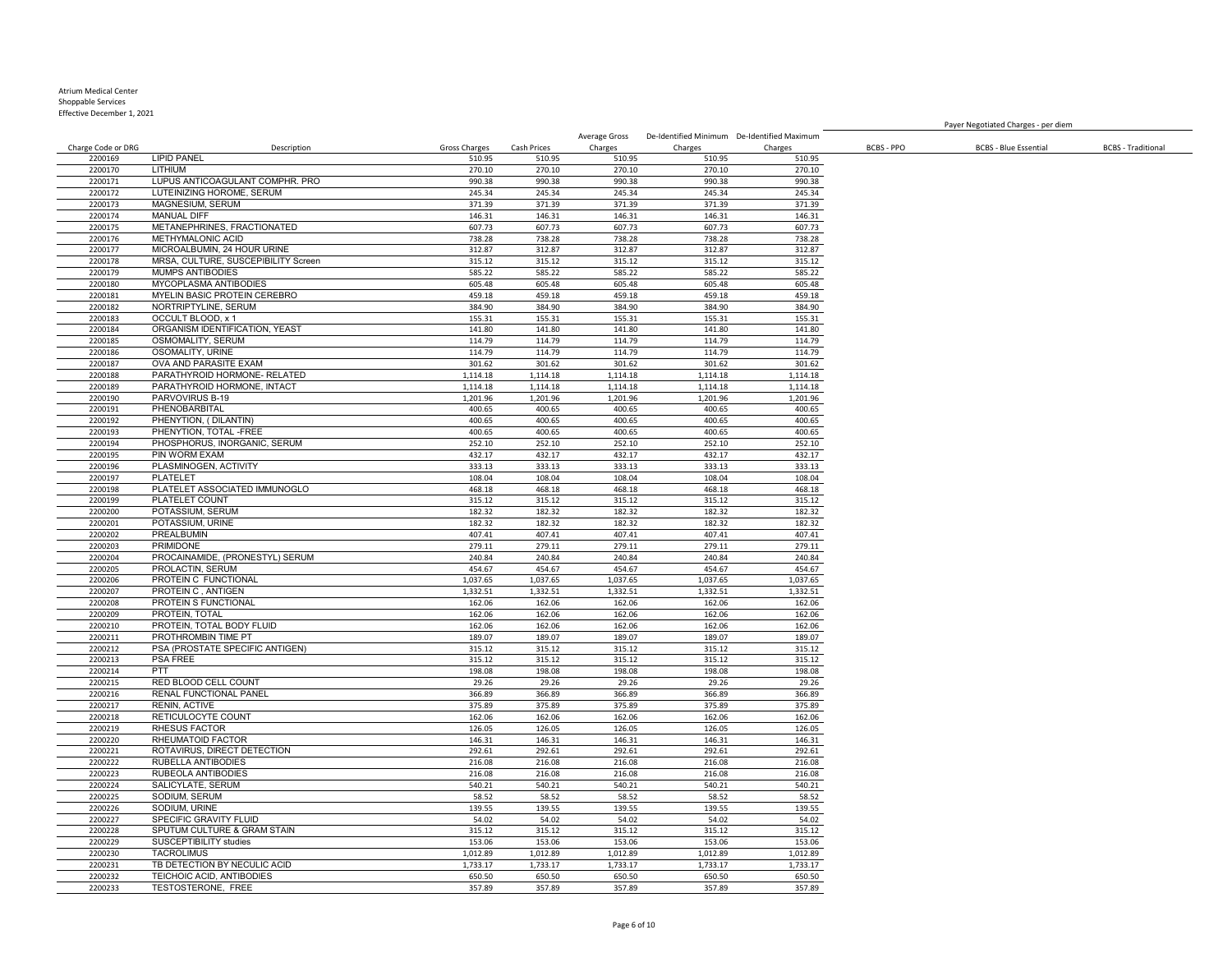Effective December 1, 2021

Charge Code or DRG Description Gross Charges Cash Prices Charges Charges Charges BCBS - PPO BCBS - Blue Essential BCBS - Traditional LIPID PANEL 510.95 510.95 510.95 510.95 510.95 LITHIUM 270.10 270.10 270.10 270.10 270.10 LUPUS ANTICOAGULANT COMPHR. PRO 990.38 990.38 990.38 990.38 990.38 LUTEINIZING HOROME, SERUM 245.34 245.34 245.34 245.34 245.34 2200173 MAGNESIUM, SERUM 371.39 371.39 371.39 371.39 371.39 371.39 371.39 371.39 371.39 371.39 371.39 371.39 371.39 2200174 MANUAL DIFF 146.31 146.31 146.31 146.31 146.31 146.31 146.31 146.31 146.31 METANEPHRINES, FRACTIONATED 607.73 607.73 607.73 607.73 607.73 METHYMALONIC ACID 738.28 738.28 738.28 738.28 738.28 MICROALBUMIN, 24 HOUR URINE 312.87 312.87 312.87 312.87 312.87 2200178 MRSA, CULTURE, SUSCEPIBILITY Screen 315.12 315.12 315.12 315.12 315.12 315.12 315.12 315.12<br>2200179 MUMPS ANTIBODIES 355.22 585.22 585.22 585.22 585.22 585.22 585.22 585.22 585.22 MUMPS ANTIBODIES 585.22 585.22 585.22 585.22 585.22 MYCOPLASMA ANTIBODIES 605.48 605.48 605.48 605.48 605.48 MYELIN BASIC PROTEIN CEREBRO 459.18 459.18 459.18 459.18 459.18 2200182 NORTRIPTYLINE, SERUM 384.90 384.90 384.90 384.90 384.90 384.90 384.90 384.90 384.90 384.90 384.90 384.90<br>2200183 OCCULT BLOOD, x 1 35.31 355.31 355.31 355.31 355.31 355.31 355.31 355.31 355.31 355.31 355.31 355.31 OCCULT BLOOD, x 1 155.31 155.31 155.31 155.31 155.31 **22012 ORGANISM IDENTIFICATION, YEAST 141.80** 141.80 141.80 OSMOMALITY, SERUM 114.79 114.79 114.79 114.79 114.79 OSOMALITY, URINE 114.79 114.79 114.79 114.79 114.79 OVA AND PARASITE EXAM 301.62 301.62 301.62 301.62 301.62 PARATHYROID HORMONE- RELATED 2200189 PARATHYROID HORMONE, INTACT 1,114.18 1,114.18 1,114.18 1,114.18 1,114.18 1,114.18 1,114.18 PARVOVIRUS B-19 1,201.96 1,201.96 1,201.96 1,201.96 1,201.96 PHENOBARBITAL 400.65 400.65 400.65 400.65 400.65 PHENYTION, ( DILANTIN) 400.65 400.65 400.65 400.65 400.65 2200193 PHENYTION, TOTAL -FREE 400.65 400.65 400.65 400.65 400.65 400.65 400.65 400.65 2200194 PHOSPHORUS, INORGANIC, SERUM 252.10 252.10 252.10 252.10 252.10 252.10 252.10 252.10 252.10 252.10 252<br>2200195 PIN WORM EXAM 252.17 432.17 432.17 432.17 432.17 432.17 432.17 432.17 432.17 PIN WORM EXAM 432.17 432.17 432.17 432.17 432.17 2200196 PLASMINOGEN, ACTIVITY 333.13 333.13 333.13 333.13 333.13 333.13 333.13 333.13 333.13<br>2200197 PLATELET 208.04 108.04 108.04 108.04 108.04 108.04 108.04 PLATELET 108.04 108.04 108.04 108.04 108.04 PLATELET ASSOCIATED IMMUNOGLO 468.18 468.18 468.18 468.18 468.18 PLATELET COUNT 315.12 315.12 315.12 315.12 315.12 POTASSIUM, SERUM 182.32 182.32 182.32 182.32 182.32 POTASSIUM, URINE 182.32 182.32 182.32 182.32 182.32 PREALBUMIN 407.41 407.41 407.41 407.41 407.41 PRIMIDONE 279.11 279.11 279.11 279.11 279.11 PROCAINAMIDE, (PRONESTYL) SERUM 240.84 240.84 240.84 240.84 240.84 PROLACTIN, SERUM 454.67 454.67 454.67 454.67 454.67 PROTEIN C FUNCTIONAL 1,037.65 1,037.65 1,037.65 1,037.65 1,037.65 PROTEIN C , ANTIGEN 1,332.51 1,332.51 1,332.51 1,332.51 1,332.51 2200208 PROTEIN S FUNCTIONAL 162.06 162.06 162.06 162.06 162.06 162.06 162.06 162.06 162.06 162.06 162.06 162.06 162.06 162.06 162.06 162.06 162.06 162.06 162.06 162.06 162.06 162.06 162.06 162.06 162.06 162.06 162.06 162. PROTEIN, TOTAL 162.06 162.06 162.06 162.06 162.06 2200210 PROTEIN, TOTAL BODY FLUID 162.06 162.06 162.06 162.06 162.06 162.06 162.06 2200211 PROTHROMBIN TIME PT<br>2200211 PSA (PROSTATE SPECIFIC ANTIGEN) 200212 189.07 189.07 189.07 189.07 189.07 189.07 189.07 189.07 189.07 PSA (PROSTATE SPECIFIC ANTIGEN) 315.12 315.12 315.12 315.12 315.12 PSA FREE 315.12 315.12 315.12 315.12 315.12 PTT 198.08 198.08 198.08 198.08 198.08 2200215 RED BLOOD CELL COUNT 29.26 29.26 29.26 29.26 29.26 29.26 29.26 29.26 29.26 29.26 RENAL FUNCTIONAL PANEL 366.89 366.89 366.89 366.89 366.89 RENIN, ACTIVE 375.89 375.89 375.89 375.89 375.89 RETICULOCYTE COUNT 162.06 162.06 162.06 162.06 162.06 RHESUS FACTOR 126.05 126.05 126.05 126.05 126.05 2200220 RHEUMATOID FACTOR 1992.61 146.31 146.31 146.31 146.31 146.31 146.31 146.31 146.31 146.31 146.31 146.31<br>1200221 ROTAVIRUS. DIRECT DETECTION 292.61 292.61 292.61 292.61 292.61 292.61 292.61 ROTAVIRUS, DIRECT DETECTION 292.61 292.61 292.61 292.61 292.61 RUBELLA ANTIBODIES 216.08 216.08 216.08 216.08 216.08 RUBEOLA ANTIBODIES 216.08 216.08 216.08 216.08 216.08 SALICYLATE, SERUM 540.21 540.21 540.21 540.21 540.21 SODIUM, SERUM 58.52 58.52 58.52 58.52 58.52 SODIUM, URINE 139.55 139.55 139.55 139.55 139.55 SPECIFIC GRAVITY FLUID 54.02 54.02 54.02 54.02 54.02 2200228 SPUTUM CULTURE & GRAM STAIN 315.12 315.12 315.12 315.12 315.12 315.12 315.12 315.12 315.12 315.12 315.12<br>2200229 SUSCEPTIBILITY studies 315.10 2200229 SUSCEPTIBILITY studies 153.06 153.06 153.06 153.06 153.06 153.06 153.06 153.06 153.06 153.06 153.06 153.06 153.06 153.06 153.06 153.06 153.06 153.06 153.06 153.06 153.06 153.06 153.06 153.06 153.06 153.06 153.06 15 TACROLIMUS 1,012.89 1,012.89 1,012.89 1,012.89 1,012.89 2200231 TB DETECTION BY NECULIC ACID 1,733.17 1,733.17 1,733.17 1,733.17 1,733.17 1,733.17 1,733.17 TEICHOIC ACID, ANTIBODIES 650.50 650.50 650.50 650.50 650.50

Average Gross De-Identified Minimum De-Identified Maximum

Payer Negotiated Charges - per diem

TESTOSTERONE, FREE 357.89 357.89 357.89 357.89 357.89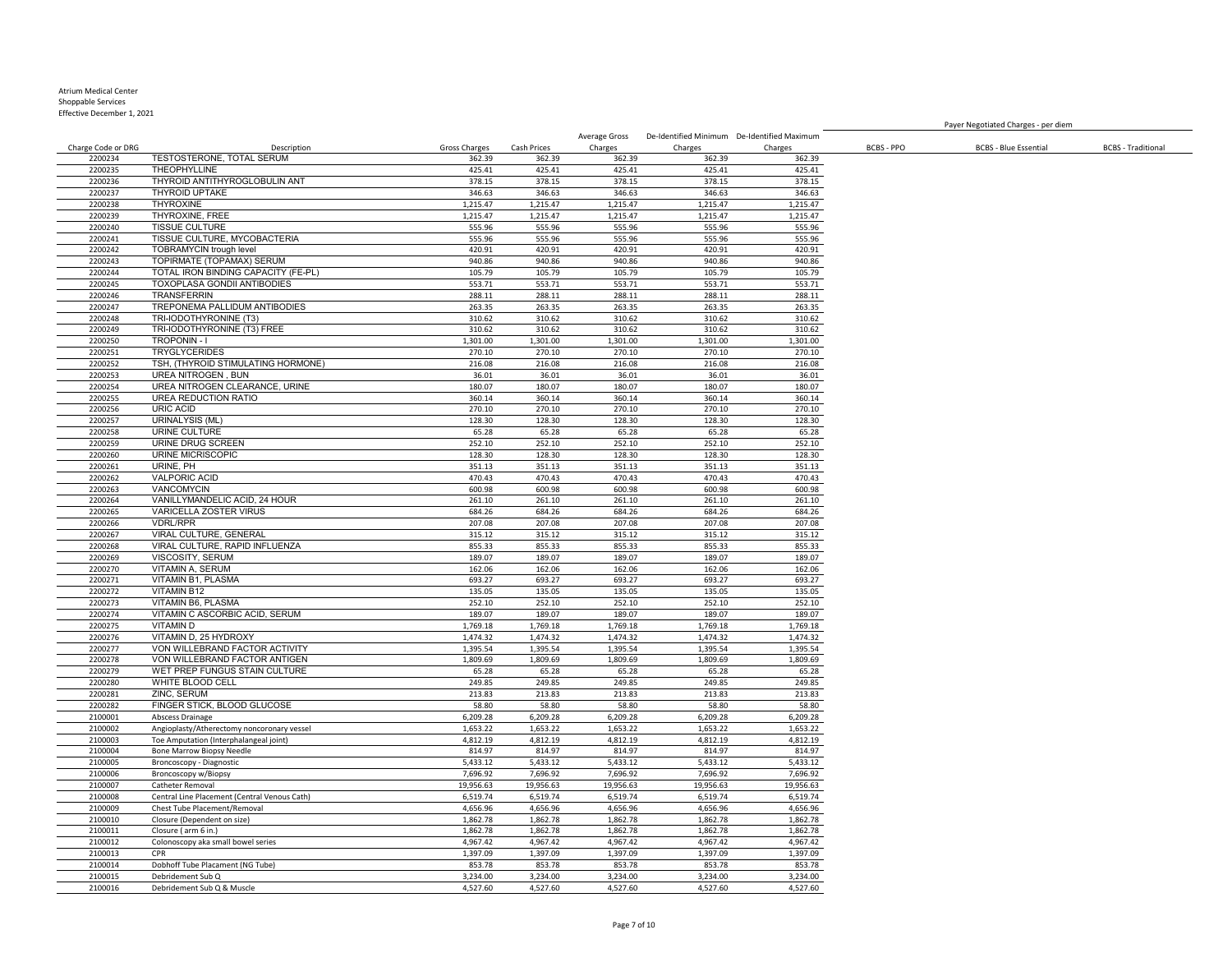### Atrium Medical Center

Shoppable Services Effective December 1, 2021

Charge Code or DRG Description Gross Charges Cash Prices

 TESTOSTERONE, TOTAL SERUM 362.39 362.39 362.39 362.39 362.39 THEOPHYLLINE 425.41 425.41 425.41 425.41 425.41 THYROID ANTITHYROGLOBULIN ANT 378.15 378.15 378.15 378.15 378.15 2200237 THYROID UPTAKE 346.63 346.63 346.63 346.63 346.63 346.63 346.63 346.63 346.63 346.63 THYROXINE 1,215.47 1,215.47 1,215.47 1,215.47 1,215.47 THYROXINE, FREE 1,215.47 1,215.47 1,215.47 1,215.47 1,215.47 TISSUE CULTURE 555.96 555.96 555.96 555.96 555.96 TISSUE CULTURE, MYCOBACTERIA 555.96 555.96 555.96 555.96 555.96 TOBRAMYCIN trough level 420.91 420.91 420.91 420.91 420.91 TOPIRMATE (TOPAMAX) SERUM 940.86 940.86 940.86 940.86 940.86 220024 TOTAL IRON BINDING CAPACITY (FE-PL) 105.79 105.79 105.79 105.79 105.79 105.79 105.79 105.79 105.79 105.79<br>220024 TOXOPLASA GONDII ANTIBODIES 105.79 1053.71 553.71 553.71 553.71 553.71 553.71 553.71 553.71 TOXOPLASA GONDII ANTIBODIES 553.71 553.71 553.71 553.71 553.71 TRANSFERRIN 288.11 288.11 288.11 288.11 288.11 2200247 TREPONEMA PALLIDUM ANTIBODIES 263.35 263.35 263.35 263.35 263.35 263.35 263.35 263.35 263.35 263.35 263.35<br>2200248 TRI-IODOTHYRONINE (T3) 20062 210.62 310.62 310.62 310.62 310.62 310.62 310.62 TRI-IODOTHYRONINE (T3) 310.62 310.62 310.62 310.62 310.62 TRI-IODOTHYRONINE (T3) FREE 310.62 310.62 310.62 310.62 310.62 2200250 TROPONIN - I 1,301.00 1,301.00 1,301.00 1,301.00 1,301.00 1,301.00 1,301.00 1,301.00 TRYGLYCERIDES 270.10 270.10 270.10 270.10 270.10 TSH, (THYROID STIMULATING HORMONE) 216.08 216.08 216.08 216.08 216.08 UREA NITROGEN, BUN 2200254 UREA NITROGEN CLEARANCE, URINE 180.07 180.07 180.07 180.07 180.07 180.07 180.07 180.07 180.07 180.07 1<br>2200255 UREA REDUCTION RATIO 2200255 UREA REDUCTION RATIO<br>2200256 URIC ACID 270.10 360.14 360.14 360.14 360.14 360.14 360.14 360.14 360.14 360.14 URIC ACID 270.10 270.10 270.10 270.10 270.10 URINALYSIS (ML) 128.30 128.30 128.30 128.30 128.30 URINE CULTURE 65.28 65.28 65.28 65.28 65.28 2200259 URINE DRUG SCREEN 252.10 252.10 252.10 252.10 252.10 252.10 252.10 252.10 252.10 252.10 252.10 252.10<br>2200260 URINE MICRISCOPIC 200260 128.30 128.30 128.30 128.30 128.30 128.30 128.30 URINE MICRISCOPIC 128.30 128.30 128.30 128.30 128.30 2200261 URINE, PH 351.13 351.13 351.13 351.13 351.13 351.13 351.13 351.13 351.13 VALPORIC ACID 470.43 470.43 470.43 470.43 470.43 VANCOMYCIN 600.98 600.98 600.98 600.98 600.98 VANILLYMANDELIC ACID, 24 HOUR 261.10 261.10 261.10 261.10 261.10 VARICELLA ZOSTER VIRUS VDRL/RPR 207.08 207.08 207.08 207.08 207.08 VIRAL CULTURE, GENERAL 315.12 315.12 315.12 315.12 315.12 VIRAL CULTURE, RAPID INFLUENZA 855.33 855.33 855.33 855.33 855.33 VISCOSITY, SERUM 189.07 189.07 189.07 189.07 189.07 VITAMIN A, SERUM 162.06 162.06 162.06 162.06 162.06 VITAMIN B1, PLASMA 693.27 693.27 693.27 693.27 693.27 VITAMIN B12 135.05 135.05 135.05 135.05 135.05 2200273 VITAMIN B6, PLASMA<br>2200274 VITAMIN CASCORBIC ACID. SERUM 252.10 252.10 252.10 252.10 252.10 252.10 252.10 252.10 252.10 220.07 1239.07 1239.07 1239.07 1239.07 1239.07 1239.07 1239.07 1239.07 1239.07 1239.07 1239.07 1239.07 1239.07 1239.07 1239.07 1239.07 1239.07 1239.07 1239.07 1239.07 1239.07 1239.07 1239.07 1239.07 1239.07 1239.07 1239.07 VITAMIN D 1,769.18 1,769.18 1,769.18 1,769.18 1,769.18 2200276 VITAMIN D, 25 HYDROXY 1,474.32 1,474.32 1,474.32 1,474.32 1,474.32 1,474.32 1,474.32 1,474.32 1,474.32<br>2200277 VON WILLEBRAND FACTOR ACTIVITY 1,395.54 1,395.54 1,395.54 1,395.54 1,395.54 1,395.54 1,395.54 2200277 VON WILLEBRAND FACTOR ACTIVITY 1 1,395.54 1,395.54 1,395.54 1,395.54 1,395.54 1,395.54 1,395.54 1,395<br>2200278 VON WILLEBRAND FACTOR ANTIGEN 1,809.69 1,809.69 1,809.69 1,809.69 1,809.69 1,809.69 1,809.69 VON WILLEBRAND FACTOR ANTIGEN WET PREP FUNGUS STAIN CULTURE 65.28 65.28 65.28 65.28 65.28 WHITE BLOOD CELL 249.85 249.85 249.85 249.85 249.85 ZINC, SERUM 213.83 213.83 213.83 213.83 213.83 FINGER STICK, BLOOD GLUCOSE 58.80 58.80 58.80 58.80 58.80 Abscess Drainage 6,209.28 6,209.28 6,209.28 6,209.28 6,209.28 2100002 Angioplasty/Atherectomy noncoronary vessel 1,653.22 1,653.22 1,653.22 1,653.22 1,653.22 1,653.22 1,653.22<br>1,653.22 1,653.22 1,653.22 1,653.22 1,653.22 1,653.22 1,653.22 1,653.22 1,653.22 1,653.22 1,653.22 1,653.22 2100003 Toe Amputation (Interphalangeal joint) Bone Marrow Biopsy Needle 814.97 814.97 814.97 814.97 814.97 Broncoscopy - Diagnostic 5,433.12 5,433.12 5,433.12 5,433.12 5,433.12 2100006 Broncoscopy w/Biopsy 200006 Broncoscopy w/Biopsy 200006 7,696.92 7,696.92 7,696.92 7,696.92 7,696.92 7,696.92<br>2100007 Catheter Removal 20020 7,096.63 19.956.63 19.956.63 19.956.63 19.956.63 19.956.63 19.956.63 19.9 Catheter Removal 19,956.63 19,956.63 19,956.63 19,956.63 19,956.63 Central Line Placement (Central Venous Cath) 6,519.74 6,519.74 6,519.74 6,519.74 6,519.74 2100009 Chest Tube Placement/Removal 4,656.96 4,656.96 4,656.96 4,656.96 4,656.96 4,656.96 4,656.96 4,656.96 4,656.96 2100010 Closure (Dependent on size) 1,862.78 1,862.78 1,862.78 1,862.78 1,862.78 1,862.78 1,862.78 1,862.78 1,862.78 1,862.78 1,862.78 1,862.78 1,862.78 1,862.78 1,862.78 1,862.78 1,862.78 1,862.78 1,862.78 1,862.78 1,862. Closure ( arm 6 in.) 1,862.78 1,862.78 1,862.78 1,862.78 1,862.78 Colonoscopy aka small bowel series 4,967.42 4,967.42 4,967.42 4,967.42 4,967.42 CPR 1,397.09 1,397.09 1,397.09 1,397.09 1,397.09 Dobhoff Tube Placament (NG Tube) 853.78 853.78 853.78 853.78 853.78 Debridement Sub Q 3,234.00 3,234.00 3,234.00 3,234.00 3,234.00 Debridement Sub Q & Muscle 4,527.60 4,527.60 4,527.60 4,527.60 4,527.60

Charges

Average Gross De-Identified Minimum De-Identified Maximum

Charges BCBS - PPO BCBS - Blue Essential BCBS - Traditional

Payer Negotiated Charges - per diem

Charges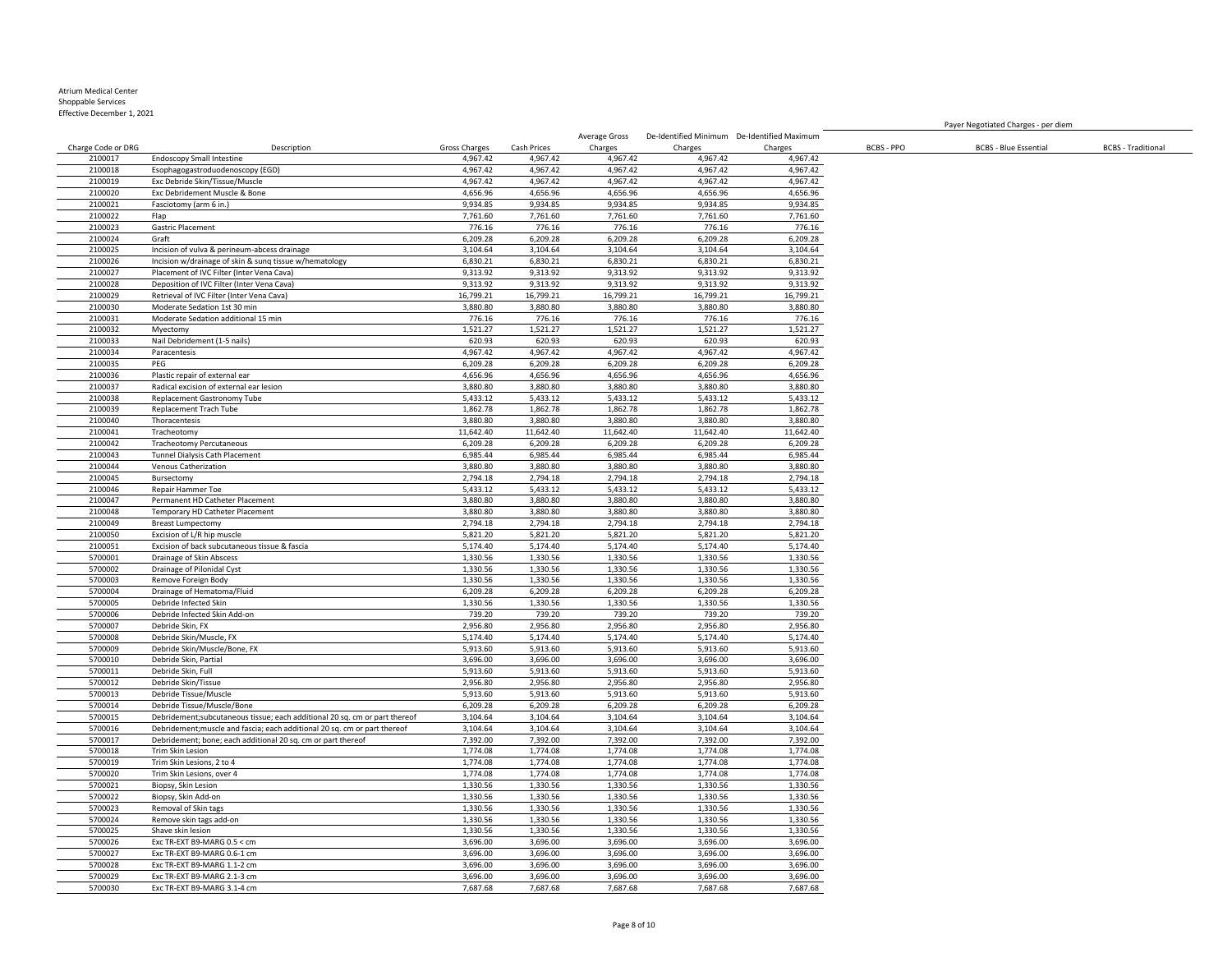Effective December 1, 2021

Charge Code or DRG Description Gross Charges Cash Prices Average Gross De-Identified Minimum De-Identified Maximum Charges Charges Charges BCBS - PPO BCBS - Blue Essential BCBS - Traditional Endoscopy Small Intestine 4,967.42 4,967.42 4,967.42 4,967.42 4,967.42 Esophagogastroduodenoscopy (EGD) 4,967.42 4,967.42 4,967.42 4,967.42 4,967.42 Exc Debride Skin/Tissue/Muscle Exc Debridement Muscle & Bone 4,656.96 4,656.96 4,656.96 4,656.96 4,656.96 Fasciotomy (arm 6 in.) 9,934.85 9,934.85 9,934.85 9,934.85 9,934.85 Flap 7,761.60 7,761.60 7,761.60 7,761.60 7,761.60 Gastric Placement 776.16 776.16 776.16 776.16 776.16 Graft 6,209.28 6,209.28 6,209.28 6,209.28 6,209.28 Incision of vulva & perineum-abcess drainage 3,104.64 3,104.64 3,104.64 3,104.64 3,104.64 2100026 Incision w/drainage of skin & sunq tissue w/hematology 6,830.21 6,830.21 6,830.21 6,830.21 6,830.21 6,830.21 6,830.21 6,830.21 6,830.21 6,830.21 6,830.21 6,830.21 6,830.21 6,830.21 6,830.21 6,830.21 6,830.21 6,830. Placement of IVC Filter (Inter Vena Cava) 9,313.92 9,313.92 9,313.92 9,313.92 9,313.92 Deposition of IVC Filter (Inter Vena Cava) 9,313.92 9,313.92 9,313.92 9,313.92 9,313.92 Retrieval of IVC Filter (Inter Vena Cava) 16,799.21 16,799.21 16,799.21 16,799.21 16,799.21 2100030 Moderate Sedation 1st 30 min 2,880.80 3,880.80 3,880.80 3,880.80 3,880.80 3,880.80 3,880.80 3,880.80 3,880.80 3,880.80 3,880.80 3,880.80 3,880.80 3,880.80 3,880.80 3,880.80 3,880.80 3,880.80 3,880.80 3,880.80 3,880 2100031 Moderate Sedation additional 15 min 1991 1992 1994 1994 1995 10 100031 Moderate Sedation additional 15 min<br>2100032 Myectomy 1,521.27 1,521.27 1,521.27 1,521.27 1,521.27 1,521.27 1,521.27 1,521.27 1,521.27 Myectomy 1,521.27 1,521.27 1,521.27 1,521.27 1,521.27 Nail Debridement (1-5 nails) 620.93 620.93 620.93 620.93 620.93 Paracentesis 4,967.42 4,967.42 4,967.42 4,967.42 4,967.42 PEG 6,209.28 6,209.28 6,209.28 6,209.28 6,209.28 Plastic repair of external ear 4,656.96 4,656.96 4,656.96 4,656.96 4,656.96 Radical excision of external ear lesion 3,880.80 3,880.80 3,880.80 3,880.80 3,880.80 2100038 Replacement Gastronomy Tube 5,433.12 5,433.12 5,433.12 5,433.12 5,433.12 5,433.12 5,433.12 5,433.12 5,433.12<br>2100039 Replacement Trach Tube 1,862.78 1,862.78 1,862.78 1,862.78 1,862.78 1,862.78 1,862.78 2100039 Replacement Trach Tube Thoracentesis 3,880.80 3,880.80 3,880.80 3,880.80 3,880.80 Tracheotomy 11,642.40 11,642.40 11,642.40 11,642.40 11,642.40 Tracheotomy Percutaneous 6,209.28 6,209.28 6,209.28 6,209.28 6,209.28 Tunnel Dialysis Cath Placement 6,985.44 6,985.44 6,985.44 6,985.44 6,985.44 Venous Catherization 3,880.80 3,880.80 3,880.80 3,880.80 3,880.80 Bursectomy 2,794.18 2,794.18 2,794.18 2,794.18 2,794.18 Repair Hammer Toe 5,433.12 5,433.12 5,433.12 5,433.12 5,433.12 Permanent HD Catheter Placement 3,880.80 3,880.80 3,880.80 3,880.80 3,880.80 Temporary HD Catheter Placement Breast Lumpectomy 2,794.18 2,794.18 2,794.18 2,794.18 2,794.18 Excision of L/R hip muscle 5,821.20 5,821.20 5,821.20 5,821.20 5,821.20 Excision of back subcutaneous tissue & fascia 5,174.40 5,174.40 5,174.40 5,174.40 5,174.40 Drainage of Skin Abscess 1,330.56 1,330.56 1,330.56 1,330.56 1,330.56 Drainage of Pilonidal Cyst 1,330.56 1,330.56 1,330.56 1,330.56 1,330.56 Remove Foreign Body 1,330.56 1,330.56 1,330.56 1,330.56 1,330.56 5700004 Drainage of Hematoma/Fluid (5,209.28 6,209.28 6,209.28 6,209.28 6,209.28 6,209.28 6,209.28 6,209.28 6,209.28 6,209.28 6,209.28 6,209.28 6,209.28 6,209.28 6,209.28 6,209.28 6,209.28 6,209.28 6,209.28 6,209.28 6,209. Debride Infected Skin 1,330.56 1,330.56 1,330.56 1,330.56 1,330.56 Debride Infected Skin Add-on 739.20 739.20 739.20 739.20 739.20 Debride Skin, FX 2,956.80 2,956.80 2,956.80 2,956.80 2,956.80 Debride Skin/Muscle, FX 5,174.40 5,174.40 5,174.40 5,174.40 5,174.40 Debride Skin/Muscle/Bone, FX 5,913.60 5,913.60 5,913.60 5,913.60 5,913.60 Debride Skin, Partial 3,696.00 3,696.00 3,696.00 3,696.00 3,696.00 Debride Skin, Full 5,913.60 5,913.60 5,913.60 5,913.60 5,913.60 Debride Skin/Tissue 2,956.80 2,956.80 2,956.80 2,956.80 2,956.80 Debride Tissue/Muscle 5,913.60 5,913.60 5,913.60 5,913.60 5,913.60 Debride Tissue/Muscle/Bone 6,209.28 6,209.28 6,209.28 6,209.28 6,209.28 Debridement;subcutaneous tissue; each additional 20 sq. cm or part thereof 3,104.64 3,104.64 3,104.64 3,104.64 3,104.64 5700016 Debridement;muscle and fascia; each additional 20 sq. cm or part thereof 3,104.64 3,104.64 3,104.64 3,104.64 3,104.64 3,104.64 3,104.64 3,104.64 3,104.64 3,104.64 3,104.64 3,104.64 3,104.64 3,104.64 3,104.64 3,104. Debridement; bone; each additional 20 sq. cm or part thereof 7,392.00 7,392.00 7,392.00 7,392.00 7,392.00 Trim Skin Lesion 1,774.08 1,774.08 1,774.08 1,774.08 1,774.08 Trim Skin Lesions, 2 to 4 1,774.08 1,774.08 1,774.08 1,774.08 1,774.08 5700020 Trim Skin Lesions, over 4 1,774.08 1,774.08 1,774.08 1,774.08 Biopsy, Skin Lesion 1,330.56 1,330.56 1,330.56 1,330.56 1,330.56 Biopsy, Skin Add-on 1,330.56 1,330.56 1,330.56 1,330.56 1,330.56 Removal of Skin tags 1,330.56 1,330.56 1,330.56 1,330.56 1,330.56 Remove skin tags add-on 1,330.56 1,330.56 1,330.56 1,330.56 1,330.56 Shave skin lesion 1,330.56 1,330.56 1,330.56 1,330.56 1,330.56 Exc TR-EXT B9-MARG 0.5 < cm 3,696.00 3,696.00 3,696.00 3,696.00 3,696.00 Exc TR-EXT B9-MARG 0.6-1 cm 3,696.00 3,696.00 3,696.00 3,696.00 3,696.00 Exc TR-EXT B9-MARG 1.1-2 cm 3,696.00 3,696.00 3,696.00 3,696.00 3,696.00 Exc TR-EXT B9-MARG 2.1-3 cm 3,696.00 3,696.00 3,696.00 3,696.00 3,696.00 Exc TR-EXT B9-MARG 3.1-4 cm 7,687.68 7,687.68 7,687.68 7,687.68 7,687.68

Payer Negotiated Charges - per diem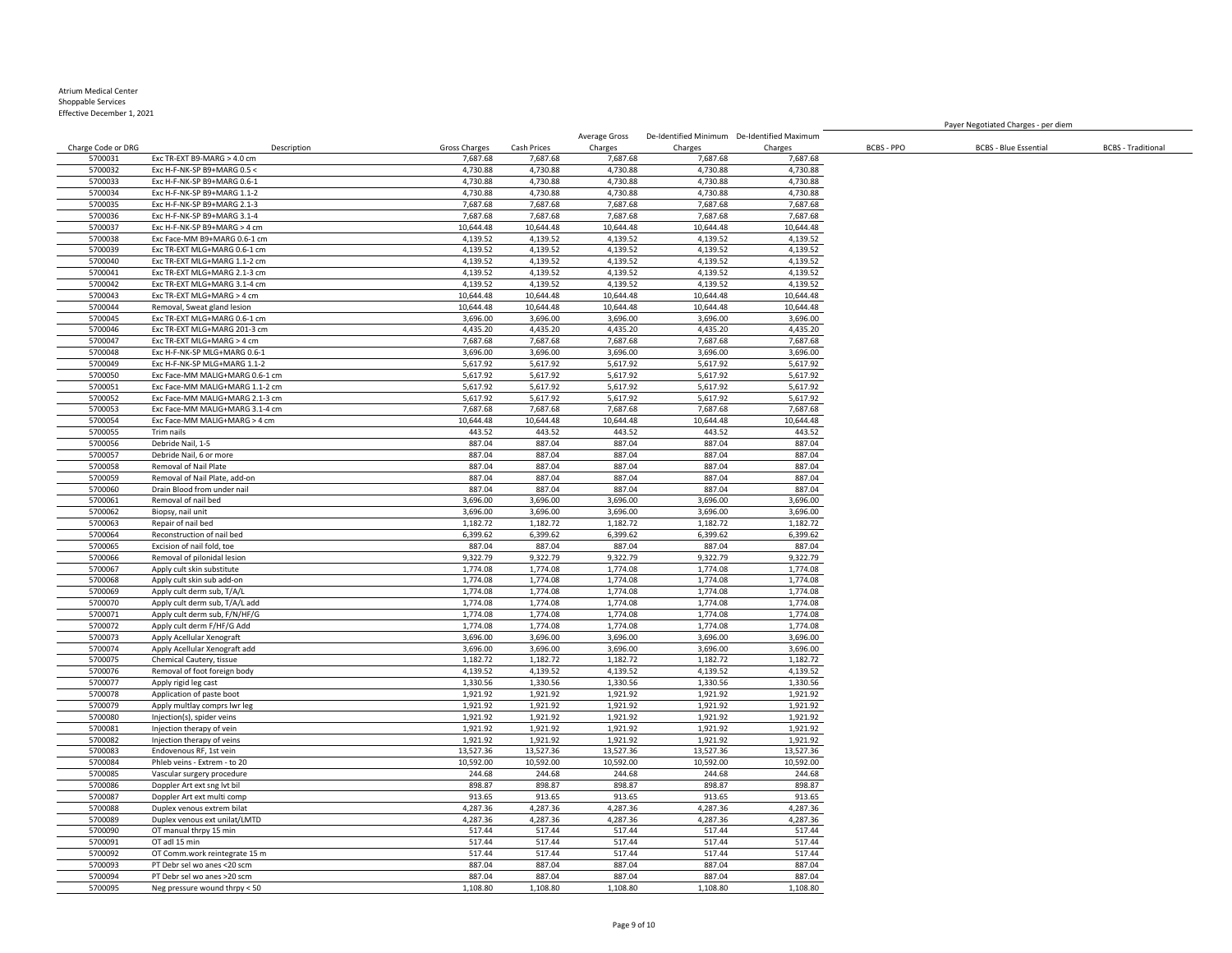Effective December 1, 2021

Charge Code or DRG Description Gross Charges Cash Prices Charges Charges Charges BCBS - PPO BCBS - Blue Essential BCBS - Traditional Exc TR-EXT B9-MARG > 4.0 cm 7,687.68 7,687.68 7,687.68 7,687.68 7,687.68 Exc H-F-NK-SP B9+MARG 0.5 < 4,730.88 4,730.88 4,730.88 4,730.88 4,730.88 Exc H-F-NK-SP B9+MARG 0.6-1 4,730.88 4,730.88 4,730.88 4,730.88 4,730.88 Exc H-F-NK-SP B9+MARG 1.1-2 4,730.88 4,730.88 4,730.88 4,730.88 4,730.88 5700035 Exc H-F-NK-SP B9+MARG 2.1-3 2.587.68 7,687.68 7,687.68 7,687.68 7,687.68 7,687.68 7,687.68 7,687.68 7,687.68<br>5700036 Exc H-F-NK-SP B9+MARG 3.1-4 7,687.68 7,687.68 7,687.68 7,687.68 7,687.68 7,687.68 7,687.68 7,687. 57000 Exc H-F-NK-SP B9+MARG 3.1-4 7,687.68 7,687.68 7,687.68 7,687.68 7,687.68 7,687.68 7,687.68 7,687.68 7,687.68 7,687.68 7,687.68 7,687.68 7,687.68 7,687.68 7,687.68 7,687.68 7,687.68 7,687.68 7,687.68 7,687.68 7,687.68 Exc H-F-NK-SP B9+MARG > 4 cm 10,644.48 10,644.48 10,644.48 10,644.48 10,644.48 Exc Face-MM B9+MARG 0.6-1 cm 4,139.52 4,139.52 4,139.52 4,139.52 4,139.52 Exc TR-EXT MLG+MARG 0.6-1 cm 4,139.52 4,139.52 4,139.52 4,139.52 4,139.52 Exc TR-EXT MLG+MARG 1.1-2 cm 4,139.52 4,139.52 4,139.52 4,139.52 4,139.52 Exc TR-EXT MLG+MARG 2.1-3 cm 4,139.52 4,139.52 4,139.52 4,139.52 4,139.52 Exc TR-EXT MLG+MARG 3.1-4 cm 4,139.52 4,139.52 4,139.52 4,139.52 4,139.52 Exc TR-EXT MLG+MARG > 4 cm 10,644.48 10,644.48 10,644.48 10,644.48 10,644.48 5700044 Removal, Sweat gland lesion 10,644.48 10,644.48 10,644.48 10,644.48 10,644.48 10,644.48 10,644.48 10,644.48 10,644.48 10,644.48 10,644.48 10,644.48 10,644.48 10,644.48 10,644.48 10,644.48 10,644.48 10,644.48 10,644 Exc TR-EXT MLG+MARG 0.6-1 cm 3,696.00 3,696.00 3,696.00 3,696.00 3,696.00 Exc TR-EXT MLG+MARG 201-3 cm 4,435.20 4,435.20 4,435.20 4,435.20 4,435.20 Exc TR-EXT MLG+MARG > 4 cm 7,687.68 7,687.68 7,687.68 7,687.68 7,687.68 Exc H-F-NK-SP MLG+MARG 0.6-1 3,696.00 3,696.00 3,696.00 3,696.00 3,696.00 Exc H-F-NK-SP MLG+MARG 1.1-2 5,617.92 5,617.92 5,617.92 5,617.92 5,617.92 Exc Face-MM MALIG+MARG 0.6-1 cm 5,617.92 Exc Face-MM MALIG+MARG 1.1-2 cm 5,617.92 5,617.92 5,617.92 5,617.92 5,617.92 Exc Face-MM MALIG+MARG 2.1-3 cm 5,617.92 5,617.92 5,617.92 5,617.92 5,617.92 Exc Face-MM MALIG+MARG 3.1-4 cm 5700054 Exc Face-MM MALIG+MARG > 4 cm 10,644.48 10,644.48 10,644.48 10,644.48 10,644.48 10,644.48 10,644.48 10,644.48 Trim nails 443.52 443.52 443.52 443.52 443.52 5700056 Debride Nail, 1-5 887.04 887.04 887.04 887.04 Debride Nail, 6 or more 887.04 887.04 887.04 887.04 887.04 Removal of Nail Plate 887.04 887.04 887.04 887.04 887.04 Removal of Nail Plate, add-on 887.04 887.04 887.04 887.04 887.04 Drain Blood from under nail 887.04 887.04 887.04 887.04 887.04 Removal of nail bed 3,696.00 3,696.00 3,696.00 3,696.00 3,696.00 Biopsy, nail unit 3,696.00 3,696.00 3,696.00 3,696.00 3,696.00 Repair of nail bed 1,182.72 1,182.72 1,182.72 1,182.72 1,182.72 Reconstruction of nail bed 6,399.62 6,399.62 6,399.62 6,399.62 6,399.62 Excision of nail fold, toe 887.04 887.04 887.04 887.04 887.04 Removal of pilonidal lesion 9,322.79 9,322.79 9,322.79 9,322.79 9,322.79 5700067 Apply cult skin substitute 1,774.08 1,774.08 1,774.08 1,774.08 1,774.08 1,774.08 1,774.08 1,774.08 Apply cult skin sub add-on 1,774.08 1,774.08 1,774.08 1,774.08 1,774.08 5700069 Apply cult derm sub, T/A/L<br>5700070 Apply cult derm sub, T/A/L add the subsection of the subsection of the state of the state of the state of the state of the state of the state of the state of the state of the stat 5700070 Apply cult derm sub, T/A/L add 1,774.08 1,774.08 1,774.08 1,774.08 1,774.08 1,774.08 1,774.08 1,774.08<br>1,774.08 1,774.08 1,774.08 1,774.08 1,774.08 1,774.08 1,774.08 1,774.08 1,774.08 1,774.08 1,774.08 1,774.08 Apply cult derm sub, F/N/HF/G Apply cult derm F/HF/G Add 1,774.08 1,774.08 1,774.08 1,774.08 1,774.08 Apply Acellular Xenograft 3,696.00 3,696.00 3,696.00 3,696.00 3,696.00 5700074 Apply Acellular Xenograft add 3,696.00 3,696.00 3,696.00 3,696.00 3,696.00 3,696.00 3,696.00 3,696.00<br>1.182.72 1.182.72 1.182.72 1.182.72 1.182.72 1.182.72 1.182.72 1.182.72 1.182.72 1.182.72 1.182.72 1.182.72 Chemical Cautery, tissue 1,182.72 1,182.72 1,182.72 1,182.72 1,182.72 Removal of foot foreign body 4,139.52 4,139.52 4,139.52 4,139.52 4,139.52 Apply rigid leg cast 1,330.56 1,330.56 1,330.56 1,330.56 1,330.56 Application of paste boot 1,921.92 1,921.92 1,921.92 1,921.92 1,921.92 Apply multlay comprs lwr leg 1,921.92 1,921.92 1,921.92 1,921.92 1,921.92 Injection(s), spider veins 1,921.92 1,921.92 1,921.92 1,921.92 1,921.92 5700081 Injection therapy of vein<br>
5700082 Injection therapy of veins
3700082 Injection therapy of veins
3700082 Injection therapy of veins
3700082 Injection therapy of veins
3700082 Injection therapy of veins
3700082 Inje Injection therapy of veins 1,921.92 1,921.92 1,921.92 1,921.92 1,921.92 5700083 Endovenous RF, 1st vein 13,527.36 13,527.36 13,527.36 13,527.36 13,527.36 13,527.36 13,527.36 13,527.36 Phleb veins - Extrem - to 20 10,592.00 10,592.00 10,592.00 10,592.00 10,592.00 5700085 Vascular surgery procedure 244.68 244.68 244.68 244.68 244.68 244.68 244.68 244.68 244.68 244.68 244.68<br>25700086 Donnler Art ext snø lyt bil Doppler Art ext sng lvt bil 898.87 898.87 898.87 898.87 898.87 Doppler Art ext multi comp 913.65 913.65 913.65 913.65 913.65 Duplex venous extrem bilat 4,287.36 4,287.36 4,287.36 4,287.36 4,287.36 Duplex venous ext unilat/LMTD 4,287.36 4,287.36 4,287.36 4,287.36 4,287.36 5700090 OT manual thrpy 15 min 517.44 517.44 517.44 517.44 517.44 517.44 517.44 517.44 517.44 517.44 517.44 517.44 517.44 517.44 517.44 517.44 517.44 517.44 517.44 517.44 517.44 517.44 517.44 517.44 517.44 517.44 517.44 51 OT adl 15 min 517.44 517.44 517.44 517.44 517.44 OT Comm.work reintegrate 15 m 517.44 517.44 517.44 517.44 517.44 PT Debr sel wo anes <20 scm 887.04 887.04 887.04 887.04 887.04 PT Debr sel wo anes >20 scm 887.04 887.04 887.04 887.04 887.04

Average Gross

De-Identified Minimum De-Identified Maximum

Payer Negotiated Charges - per diem

Neg pressure wound thrpy < 50 1,108.80 1,108.80 1,108.80 1,108.80 1,108.80